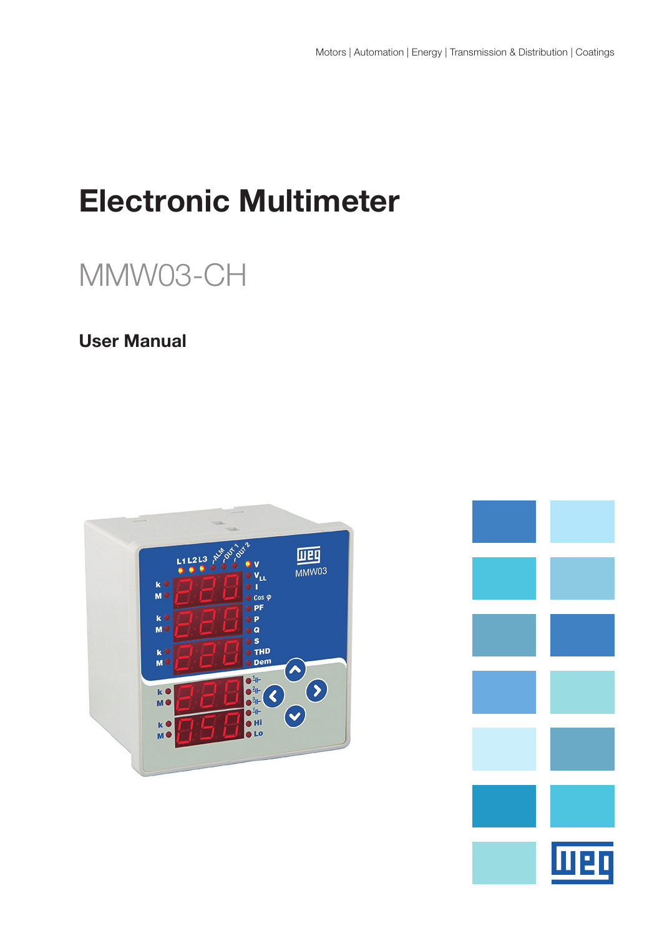# Electronic Multimeter

# MMW03-CH

# User Manual



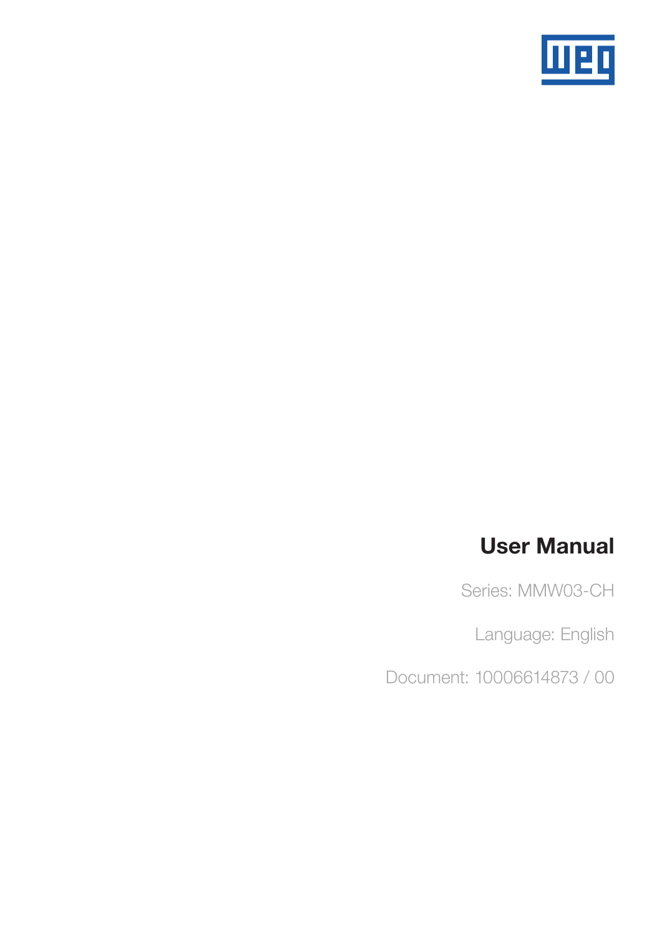

# User Manual

Series: MMW03-CH

Language: English

Document: 10006614873 / 00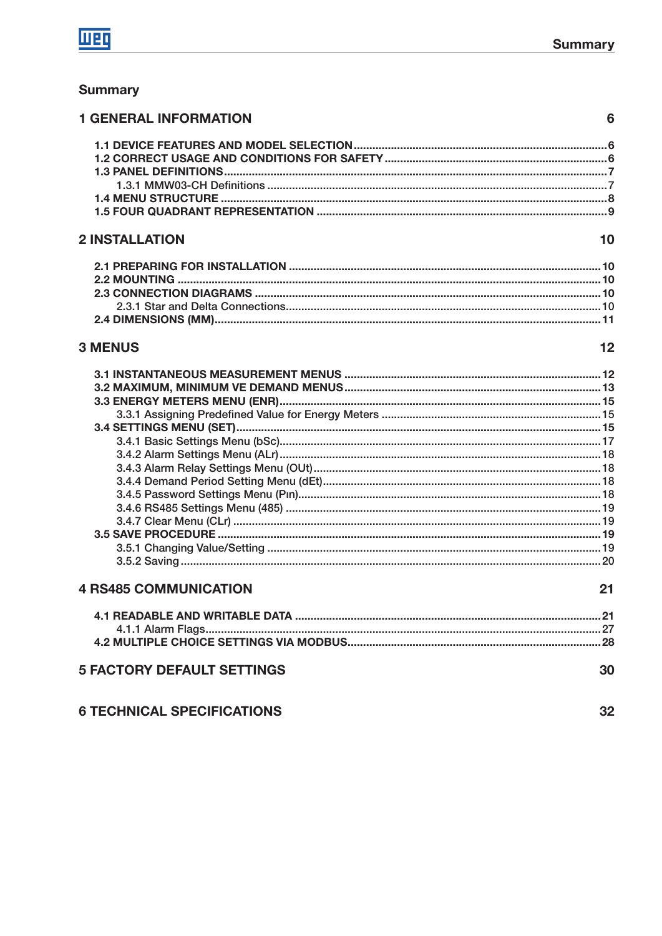# **Summary**

| <b>1 GENERAL INFORMATION</b> | 6  |
|------------------------------|----|
|                              |    |
|                              |    |
|                              |    |
|                              |    |
|                              |    |
|                              |    |
| <b>2 INSTALLATION</b>        | 10 |
|                              |    |
|                              |    |
|                              |    |
|                              |    |
|                              |    |
| <b>3 MENUS</b>               | 12 |
|                              |    |
|                              |    |
|                              |    |
|                              |    |
|                              |    |
|                              |    |
|                              |    |
|                              |    |
|                              |    |
|                              |    |
|                              |    |
|                              |    |
|                              |    |
|                              |    |
| <b>4 RS485 COMMUNICATION</b> | 21 |
|                              |    |
|                              |    |

# **5 FACTORY DEFAULT SETTINGS**

|  |  | <b>6 TECHNICAL SPECIFICATIONS</b> |  |  |  |
|--|--|-----------------------------------|--|--|--|
|--|--|-----------------------------------|--|--|--|

 $32$ 

30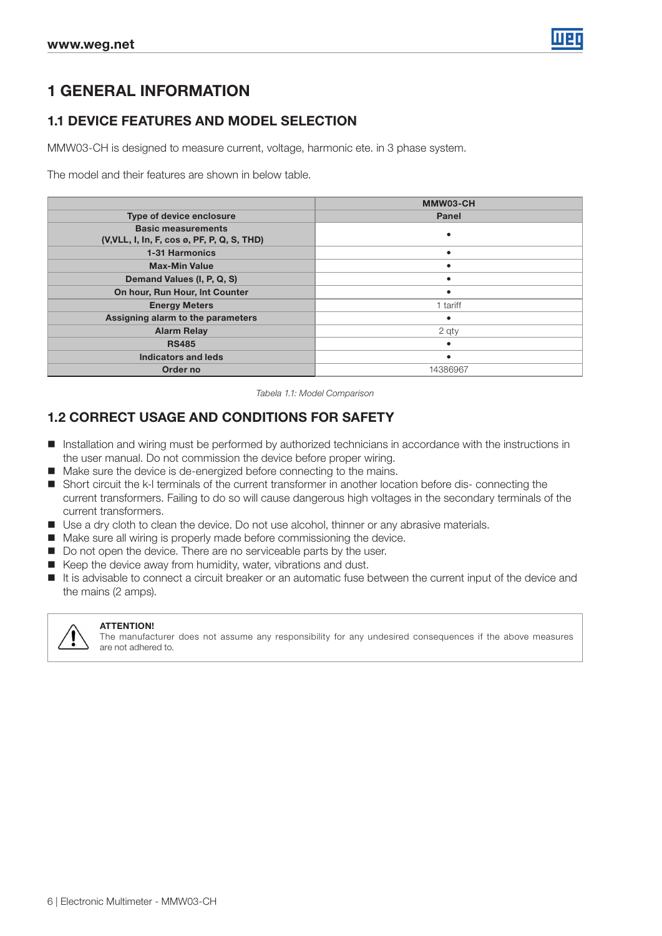

# 1 GENERAL INFORMATION

## 1.1 DEVICE FEATURES AND MODEL SELECTION

MMW03-CH is designed to measure current, voltage, harmonic ete. in 3 phase system.

The model and their features are shown in below table.

|                                             | MMW03-CH |
|---------------------------------------------|----------|
| Type of device enclosure                    | Panel    |
| <b>Basic measurements</b>                   |          |
| (V, VLL, I, In, F, cos ø, PF, P, Q, S, THD) |          |
| <b>1-31 Harmonics</b>                       |          |
| <b>Max-Min Value</b>                        |          |
| Demand Values (I, P, Q, S)                  |          |
| On hour, Run Hour, Int Counter              |          |
| <b>Energy Meters</b>                        | 1 tariff |
| Assigning alarm to the parameters           |          |
| <b>Alarm Relay</b>                          | 2 qty    |
| <b>RS485</b>                                |          |
| Indicators and leds                         |          |
| Order no                                    | 14386967 |

Tabela 1.1: Model Comparison

### 1.2 CORRECT USAGE AND CONDITIONS FOR SAFETY

- Installation and wiring must be performed by authorized technicians in accordance with the instructions in the user manual. Do not commission the device before proper wiring.
- Make sure the device is de-energized before connecting to the mains.
- Short circuit the k-l terminals of the current transformer in another location before dis- connecting the current transformers. Failing to do so will cause dangerous high voltages in the secondary terminals of the current transformers.
- Use a dry cloth to clean the device. Do not use alcohol, thinner or any abrasive materials.
- Make sure all wiring is properly made before commissioning the device.
- Do not open the device. There are no serviceable parts by the user.
- Keep the device away from humidity, water, vibrations and dust.
- It is advisable to connect a circuit breaker or an automatic fuse between the current input of the device and the mains (2 amps).



#### ATTENTION!

The manufacturer does not assume any responsibility for any undesired consequences if the above measures are not adhered to.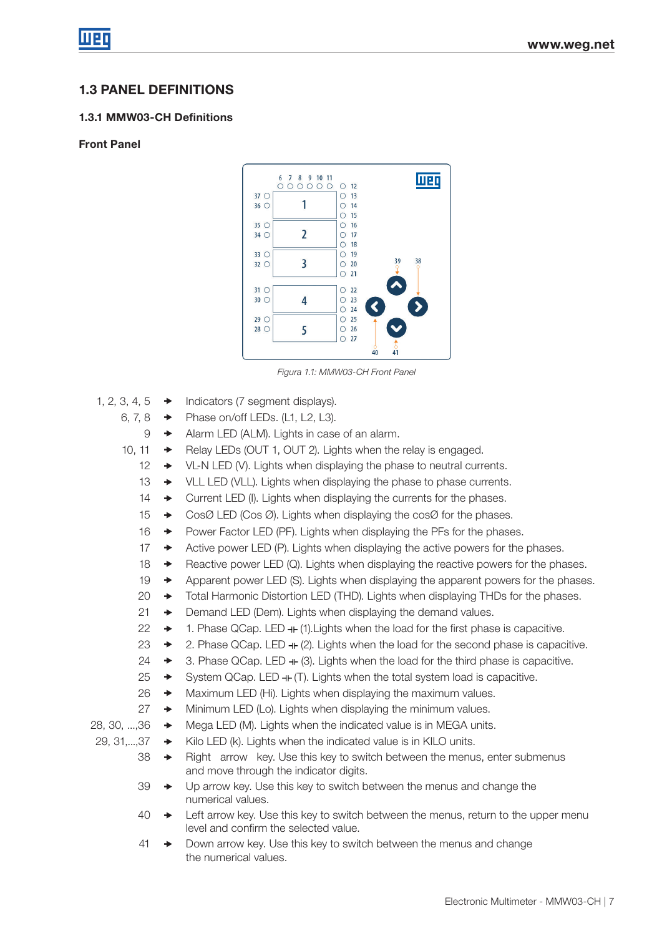## 1.3 PANEL DEFINITIONS

### 1.3.1 MMW03-CH Definitions

### Front Panel



Figura 1.1: MMW03-CH Front Panel

- 1, 2, 3, 4,  $5 \rightarrow$  Indicators (7 segment displays).
	- 6, 7, 8  $\rightarrow$  Phase on/off LEDs. (L1, L2, L3).
		- $9 \rightarrow$  Alarm LED (ALM). Lights in case of an alarm.
	- 10, 11  $\rightarrow$  Relay LEDs (OUT 1, OUT 2). Lights when the relay is engaged.
		- $12 \rightarrow$  VL-N LED (V). Lights when displaying the phase to neutral currents.
		- $13 \rightarrow$  VLL LED (VLL). Lights when displaying the phase to phase currents.
		- 14  $\rightarrow$  Current LED (I). Lights when displaying the currents for the phases.
		- 15  $\rightarrow$  CosØ LED (Cos Ø). Lights when displaying the cosØ for the phases.
		- 16  $\rightarrow$  Power Factor LED (PF). Lights when displaying the PFs for the phases.
		- 17  $\rightarrow$  Active power LED (P). Lights when displaying the active powers for the phases.
		- 18  $\rightarrow$  Reactive power LED (Q). Lights when displaying the reactive powers for the phases.
		- 19  $\rightarrow$  Apparent power LED (S). Lights when displaying the apparent powers for the phases.
		- 20  $\rightarrow$  Total Harmonic Distortion LED (THD). Lights when displaying THDs for the phases.
		- $21 \rightarrow$  Demand LED (Dem). Lights when displaying the demand values.
		- $22 \rightarrow 1$ . Phase QCap. LED  $+$  (1). Lights when the load for the first phase is capacitive.
		- 23  $\rightarrow$  2. Phase QCap. LED  $+$  (2). Lights when the load for the second phase is capacitive.
		- 24  $\rightarrow$  3. Phase QCap. LED  $+$  (3). Lights when the load for the third phase is capacitive.
		- 25  $\rightarrow$  System QCap. LED  $+$  (T). Lights when the total system load is capacitive.
		- $26 \rightarrow$  Maximum LED (Hi). Lights when displaying the maximum values.
		- $27 \rightarrow$  Minimum LED (Lo). Lights when displaying the minimum values.
- 28, 30,  $\dots$ ,36  $\rightarrow$  Mega LED (M). Lights when the indicated value is in MEGA units.
- 29, 31,...,37  $\rightarrow$  Kilo LED (k). Lights when the indicated value is in KILO units.
	- $38 \rightarrow$  Right arrow key. Use this key to switch between the menus, enter submenus and move through the indicator digits.
	- $39 \rightarrow$  Up arrow key. Use this key to switch between the menus and change the numerical values.
	- 40  $\rightarrow$  Left arrow key. Use this key to switch between the menus, return to the upper menu level and confirm the selected value.
	- 41  $\rightarrow$  Down arrow key. Use this key to switch between the menus and change the numerical values.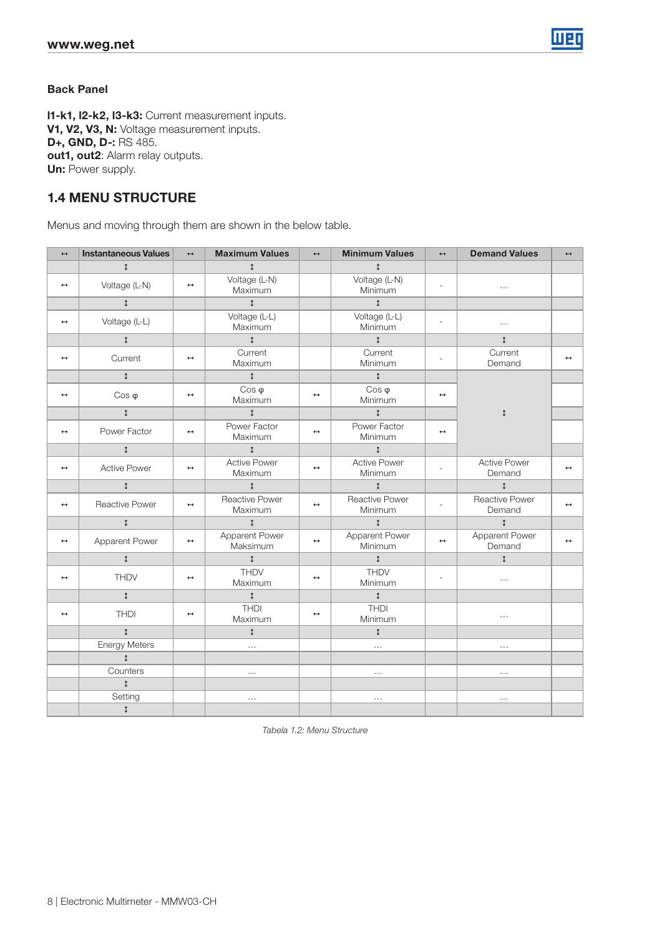

#### Back Panel

l1-k1, l2-k2, l3-k3: Current measurement inputs. V1, V2, V3, N: Voltage measurement inputs. D+, GND, D-: RS 485. out1, out2: Alarm relay outputs. **Un:** Power supply.

### 1.4 MENU STRUCTURE

Menus and moving through them are shown in the below table.

| $\leftrightarrow$ | <b>Instantaneous Values</b> | $\leftrightarrow$ | <b>Maximum Values</b>            | $\leftrightarrow$ | <b>Minimum Values</b>            | $\longleftrightarrow$    | <b>Demand Values</b>            | $\leftrightarrow$ |
|-------------------|-----------------------------|-------------------|----------------------------------|-------------------|----------------------------------|--------------------------|---------------------------------|-------------------|
|                   | $\updownarrow$              |                   | $\updownarrow$                   |                   | $\updownarrow$                   |                          |                                 |                   |
| $\leftrightarrow$ | Voltage (L-N)               | $\leftrightarrow$ | Voltage (L-N)<br>Maximum         |                   | Voltage (L-N)<br>Minimum         | $\overline{\phantom{a}}$ | $\cdots$                        |                   |
|                   | $\updownarrow$              |                   | $\updownarrow$                   |                   | $\updownarrow$                   |                          |                                 |                   |
| $\leftrightarrow$ | Voltage (L-L)               |                   | Voltage (L-L)<br>Maximum         |                   | Voltage (L-L)<br>Minimum         | $\sim$                   | $\cdots$                        |                   |
|                   | $\updownarrow$              |                   | $\updownarrow$                   |                   | $\uparrow$                       |                          | $\updownarrow$                  |                   |
| $\leftrightarrow$ | Current                     | $\leftrightarrow$ | Current<br>Maximum               |                   | Current<br>Minimum               | $\overline{a}$           | Current<br>Demand               | $\leftrightarrow$ |
|                   | $\updownarrow$              |                   | $\updownarrow$                   |                   | $\updownarrow$                   |                          |                                 |                   |
| $\leftrightarrow$ | $Cos \varphi$               | $\leftrightarrow$ | $Cos \varphi$<br>Maximum         | $\leftrightarrow$ | $Cos \varphi$<br>Minimum         | $\leftrightarrow$        |                                 |                   |
|                   | $\updownarrow$              |                   | $\mathbf{1}$                     |                   | $\mathbf{1}$                     |                          | $\updownarrow$                  |                   |
| $\leftrightarrow$ | Power Factor                | $\leftrightarrow$ | Power Factor<br>Maximum          | $\leftrightarrow$ | Power Factor<br>Minimum          | $\leftrightarrow$        |                                 |                   |
|                   | $\updownarrow$              |                   | $\updownarrow$                   |                   | $\updownarrow$                   |                          |                                 |                   |
| $\leftrightarrow$ | <b>Active Power</b>         | $\leftrightarrow$ | <b>Active Power</b><br>Maximum   | $\leftrightarrow$ | <b>Active Power</b><br>Minimum   | L.                       | <b>Active Power</b><br>Demand   | $\leftrightarrow$ |
|                   | $\updownarrow$              |                   | $\updownarrow$                   |                   | $\updownarrow$                   |                          | $\uparrow$                      |                   |
| $\leftrightarrow$ | <b>Reactive Power</b>       | $\leftrightarrow$ | <b>Reactive Power</b><br>Maximum | $\leftrightarrow$ | <b>Reactive Power</b><br>Minimum | $\overline{a}$           | <b>Reactive Power</b><br>Demand |                   |
|                   | $\updownarrow$              |                   | $\uparrow$                       |                   | $\uparrow$                       |                          | $\updownarrow$                  |                   |
| $\leftrightarrow$ | Apparent Power              | $\leftrightarrow$ | Apparent Power<br>Maksimum       | $\leftrightarrow$ | Apparent Power<br>Minimum        | $\leftrightarrow$        | Apparent Power<br>Demand        | $\leftrightarrow$ |
|                   | $\updownarrow$              |                   | $\updownarrow$                   |                   | $\updownarrow$                   |                          | $\uparrow$                      |                   |
| $\leftrightarrow$ | <b>THDV</b>                 | $\leftrightarrow$ | <b>THDV</b><br>Maximum           | $\leftrightarrow$ | <b>THDV</b><br>Minimum           | ÷                        | $\cdots$                        |                   |
|                   | $\updownarrow$              |                   | $\updownarrow$                   |                   | $\updownarrow$                   |                          |                                 |                   |
| $\leftrightarrow$ | <b>THDI</b>                 | $\leftrightarrow$ | <b>THDI</b><br>Maximum           | $\leftrightarrow$ | <b>THDI</b><br>Minimum           |                          | $\cdots$                        |                   |
|                   | $\updownarrow$              |                   | $\updownarrow$                   |                   | $\updownarrow$                   |                          |                                 |                   |
|                   | <b>Energy Meters</b>        |                   | $\cdots$                         |                   | $\cdots$                         |                          | $\cdots$                        |                   |
|                   | $\uparrow$                  |                   |                                  |                   |                                  |                          |                                 |                   |
|                   | Counters                    |                   | $\cdots$                         |                   | $\cdots$                         |                          | $\cdots$                        |                   |
|                   | $\updownarrow$              |                   |                                  |                   |                                  |                          |                                 |                   |
|                   | Setting                     |                   | $\cdots$                         |                   | $\cdots$                         |                          | $\cdots$                        |                   |
|                   | $\updownarrow$              |                   |                                  |                   |                                  |                          |                                 |                   |

Tabela 1.2: Menu Structure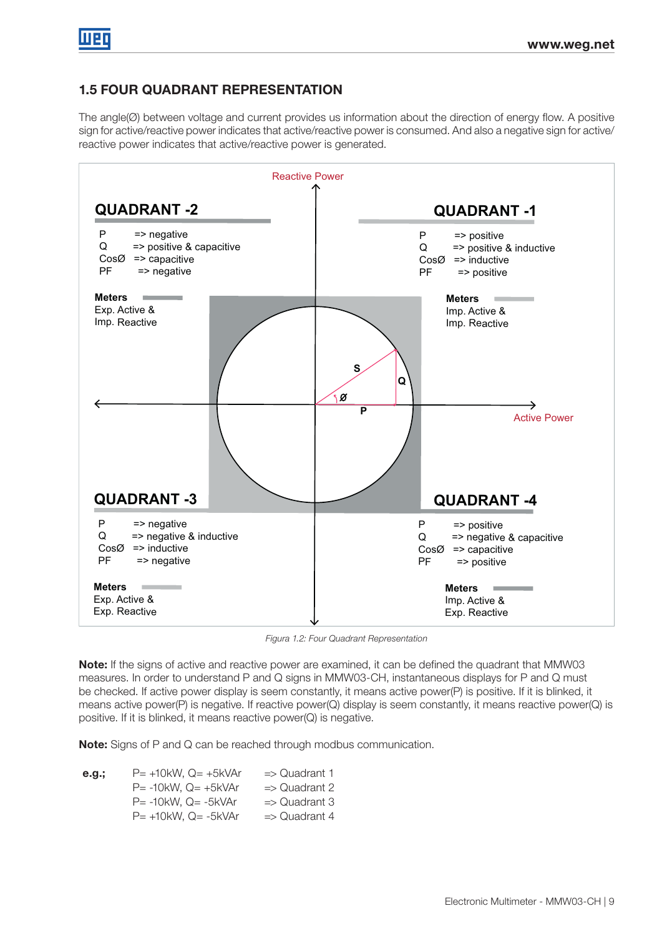# 1.5 FOUR QUADRANT REPRESENTATION

The angle(Ø) between voltage and current provides us information about the direction of energy flow. A positive sign for active/reactive power indicates that active/reactive power is consumed. And also a negative sign for active/ reactive power indicates that active/reactive power is generated.



Figura 1.2: Four Quadrant Representation

Note: If the signs of active and reactive power are examined, it can be defined the quadrant that MMW03 measures. In order to understand P and Q signs in MMW03-CH, instantaneous displays for P and Q must be checked. If active power display is seem constantly, it means active power(P) is positive. If it is blinked, it means active power(P) is negative. If reactive power(Q) display is seem constantly, it means reactive power(Q) is positive. If it is blinked, it means reactive power(Q) is negative.

Note: Signs of P and Q can be reached through modbus communication.

**e.g.;**  $P = +10kW$ ,  $Q = +5kVAr$   $\Rightarrow$  Quadrant 1  $P = -10kW$ ,  $Q = +5kVAr$   $\implies$  Quadrant 2  $P = -10$ kW, Q =  $-5$ kVAr  $\Rightarrow$  Quadrant 3  $P= +10kW$ , Q=  $-5kVAr$  => Quadrant 4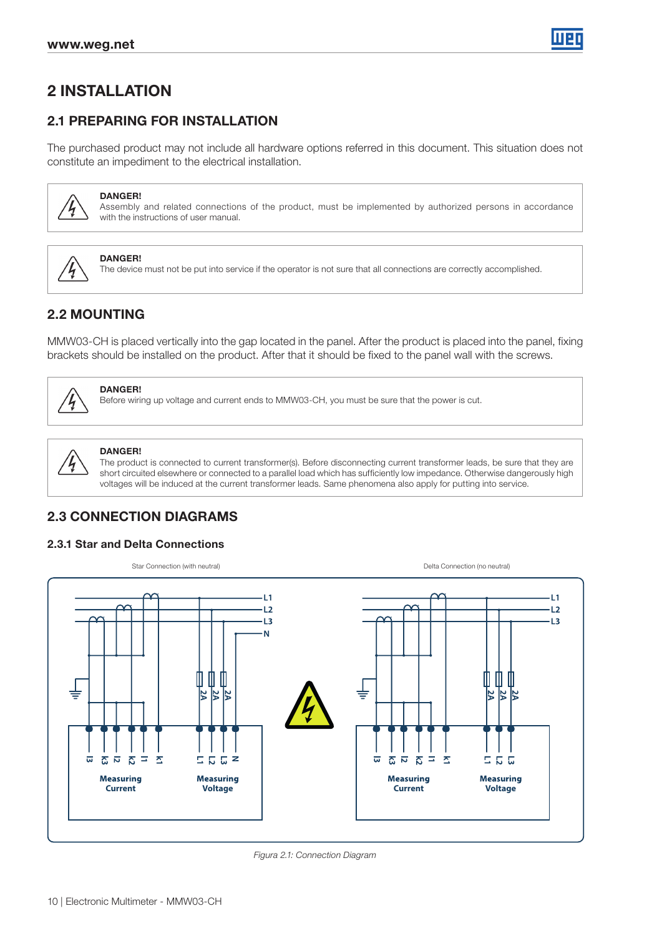

# 2 INSTALLATION

# 2.1 PREPARING FOR INSTALLATION

The purchased product may not include all hardware options referred in this document. This situation does not constitute an impediment to the electrical installation.



#### DANGER!

Assembly and related connections of the product, must be implemented by authorized persons in accordance with the instructions of user manual.



DANGER!

The device must not be put into service if the operator is not sure that all connections are correctly accomplished.

# 2.2 MOUNTING

MMW03-CH is placed vertically into the gap located in the panel. After the product is placed into the panel, fixing brackets should be installed on the product. After that it should be fixed to the panel wall with the screws.



# DANGER!

Before wiring up voltage and current ends to MMW03-CH, you must be sure that the power is cut.



#### DANGER!

The product is connected to current transformer(s). Before disconnecting current transformer leads, be sure that they are short circuited elsewhere or connected to a parallel load which has sufficiently low impedance. Otherwise dangerously high voltages will be induced at the current transformer leads. Same phenomena also apply for putting into service.

# 2.3 CONNECTION DIAGRAMS

#### 2.3.1 Star and Delta Connections



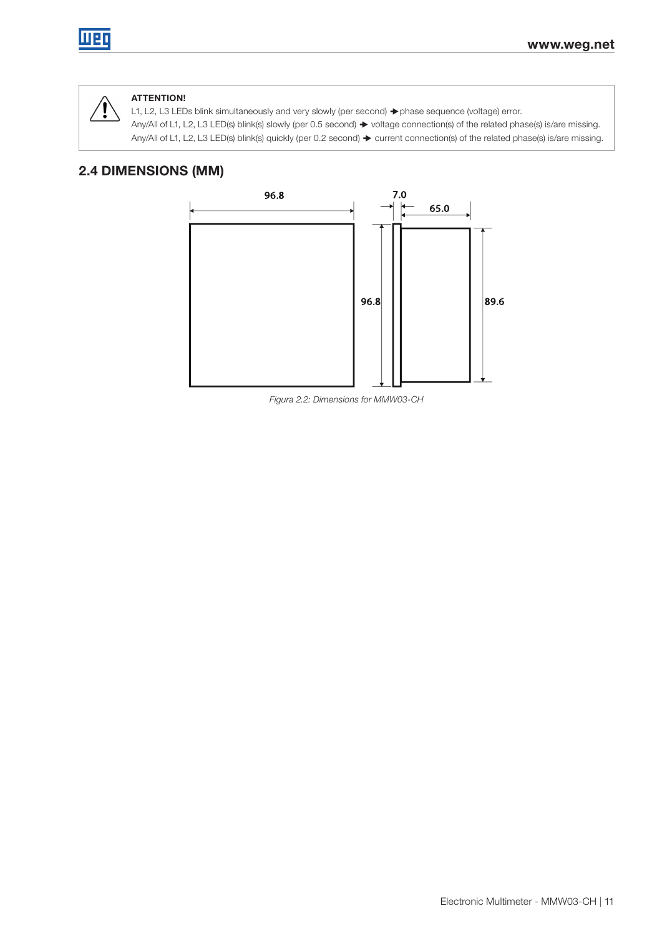

### ATTENTION!

L1, L2, L3 LEDs blink simultaneously and very slowly (per second) → phase sequence (voltage) error. Any/All of L1, L2, L3 LED(s) blink(s) slowly (per 0.5 second)  $\blacktriangleright$  voltage connection(s) of the related phase(s) is/are missing. Any/All of L1, L2, L3 LED(s) blink(s) quickly (per 0.2 second)  $\blacktriangleright$  current connection(s) of the related phase(s) is/are missing.

### 2.4 DIMENSIONS (MM)



Figura 2.2: Dimensions for MMW03-CH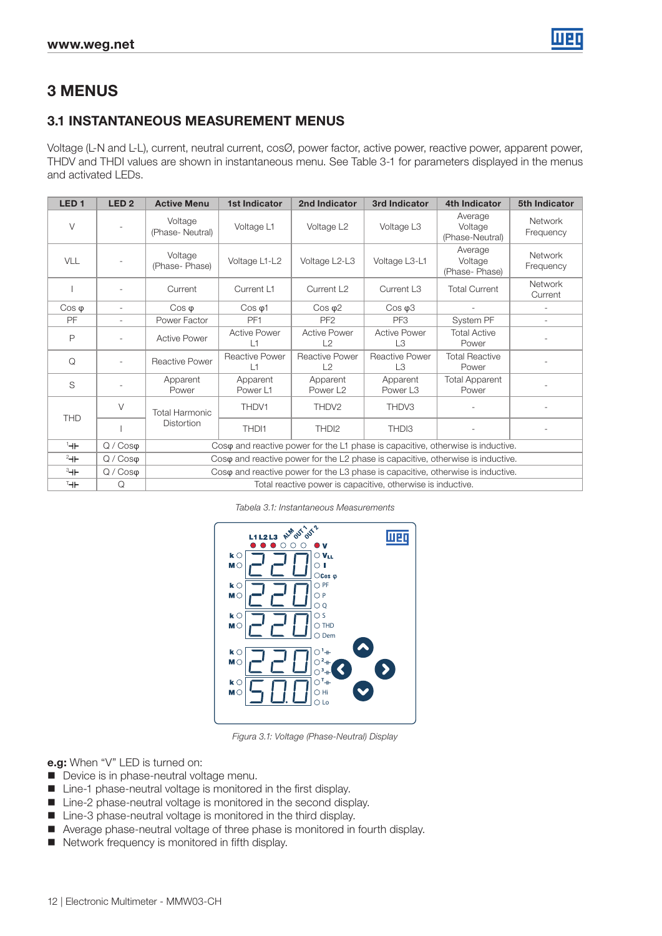

# 3 MENUS

### 3.1 INSTANTANEOUS MEASUREMENT MENUS

Voltage (L-N and L-L), current, neutral current, cosØ, power factor, active power, reactive power, apparent power, THDV and THDI values are shown in instantaneous menu. See Table 3-1 for parameters displayed in the menus and activated LEDs.

| LED <sub>1</sub> | LED <sub>2</sub>         | <b>Active Menu</b>         | 1st Indicator                                                                   | 2nd Indicator                                               | 3rd Indicator                    | <b>4th Indicator</b>                                                                     | 5th Indicator               |  |
|------------------|--------------------------|----------------------------|---------------------------------------------------------------------------------|-------------------------------------------------------------|----------------------------------|------------------------------------------------------------------------------------------|-----------------------------|--|
| $\vee$           |                          | Voltage<br>(Phase-Neutral) | Voltage L1                                                                      | Voltage L <sub>2</sub>                                      | Voltage L3                       | Average<br>Voltage<br>(Phase-Neutral)                                                    | Network<br>Frequency        |  |
| <b>VLL</b>       |                          | Voltage<br>(Phase-Phase)   | Voltage L1-L2                                                                   | Voltage L2-L3                                               | Voltage L3-L1                    | Average<br>Voltage<br>(Phase-Phase)                                                      | <b>Network</b><br>Frequency |  |
|                  |                          | Current                    | Current L1                                                                      | Current L <sub>2</sub>                                      | Current L <sub>3</sub>           | <b>Total Current</b>                                                                     | <b>Network</b><br>Current   |  |
| $\cos \varphi$   | $\overline{\phantom{a}}$ | $\cos \varphi$             | $Cos \varphi$ 1                                                                 | $\cos \varphi 2$                                            | $\cos \varphi 3$                 |                                                                                          |                             |  |
| PF               | $\sim$                   | Power Factor               | PF <sub>1</sub>                                                                 | PF <sub>2</sub>                                             | PF <sub>3</sub>                  | System PF                                                                                |                             |  |
| P                |                          | <b>Active Power</b>        | <b>Active Power</b><br>L1                                                       | <b>Active Power</b><br>L2                                   | <b>Active Power</b><br>L3        | <b>Total Active</b><br>Power                                                             |                             |  |
| Q                |                          | Reactive Power             | <b>Reactive Power</b><br>L1                                                     | <b>Reactive Power</b><br>L2                                 | Reactive Power<br>L3             | <b>Total Reactive</b><br>Power                                                           |                             |  |
| S                |                          | Apparent<br>Power          | Apparent<br>Power L1                                                            | Apparent<br>Power L <sub>2</sub>                            | Apparent<br>Power L <sub>3</sub> | <b>Total Apparent</b><br>Power                                                           |                             |  |
| <b>THD</b>       | $\vee$                   | <b>Total Harmonic</b>      | THDV1                                                                           | THDV2                                                       | THDV3                            |                                                                                          |                             |  |
|                  |                          | Distortion                 | THD <sub>1</sub>                                                                | THD <sub>12</sub>                                           | THD <sub>13</sub>                |                                                                                          |                             |  |
| $+$              | $Q / \cos \varphi$       |                            |                                                                                 |                                                             |                                  | $\cos\varphi$ and reactive power for the L1 phase is capacitive, otherwise is inductive. |                             |  |
| $2 +$            | $Q / \cos \varphi$       |                            | Coso and reactive power for the L2 phase is capacitive, otherwise is inductive. |                                                             |                                  |                                                                                          |                             |  |
| $3 +$            | $Q / \cos \varphi$       |                            |                                                                                 |                                                             |                                  | Coso and reactive power for the L3 phase is capacitive, otherwise is inductive.          |                             |  |
| Т⊣⊩              | Q                        |                            |                                                                                 | Total reactive power is capacitive, otherwise is inductive. |                                  |                                                                                          |                             |  |

Tabela 3.1: Instantaneous Measurements



Figura 3.1: Voltage (Phase-Neutral) Display

e.g: When "V" LED is turned on:

- Device is in phase-neutral voltage menu.
- Line-1 phase-neutral voltage is monitored in the first display.
- Line-2 phase-neutral voltage is monitored in the second display.
- Line-3 phase-neutral voltage is monitored in the third display.
- Average phase-neutral voltage of three phase is monitored in fourth display.
- Network frequency is monitored in fifth display.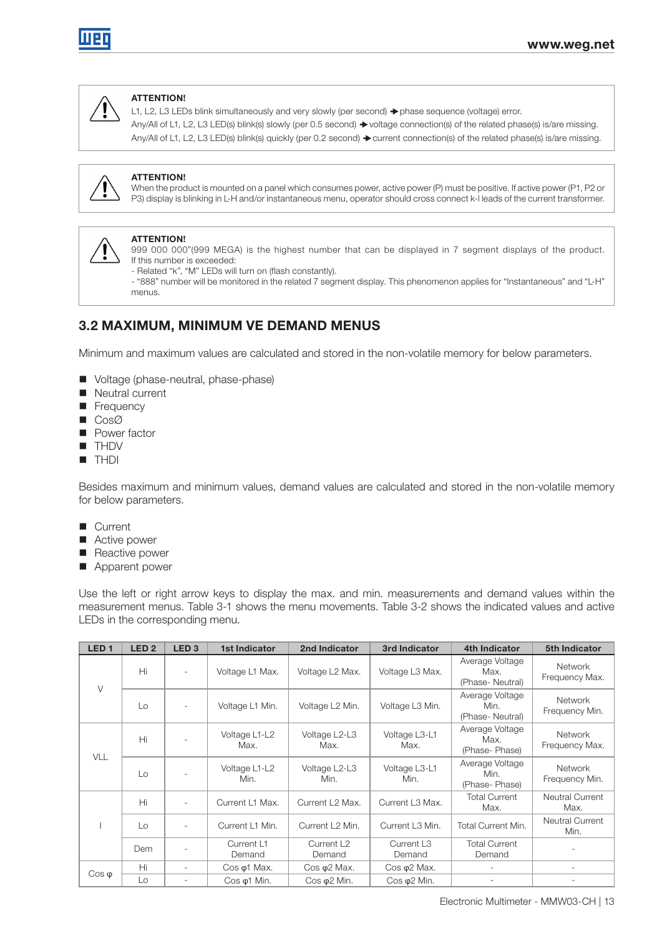

#### ATTENTION!

L1, L2, L3 LEDs blink simultaneously and very slowly (per second) → phase sequence (voltage) error. Any/All of L1, L2, L3 LED(s) blink(s) slowly (per 0.5 second)  $\blacktriangleright$  voltage connection(s) of the related phase(s) is/are missing. Any/All of L1, L2, L3 LED(s) blink(s) quickly (per 0.2 second)  $\blacktriangleright$  current connection(s) of the related phase(s) is/are missing.



#### ATTENTION!

When the product is mounted on a panel which consumes power, active power (P) must be positive. If active power (P1, P2 or P3) display is blinking in L-H and/or instantaneous menu, operator should cross connect k-l leads of the current transformer.



#### ATTENTION!

999 000 000"(999 MEGA) is the highest number that can be displayed in 7 segment displays of the product. If this number is exceeded:

- Related "k", "M" LEDs will turn on (flash constantly).

- "888" number will be monitored in the related 7 segment display. This phenomenon applies for "Instantaneous" and "L-H" menus.

# 3.2 MAXIMUM, MINIMUM VE DEMAND MENUS

Minimum and maximum values are calculated and stored in the non-volatile memory for below parameters.

- Voltage (phase-neutral, phase-phase)
- Neutral current
- **Frequency**
- CosØ
- **Power factor**
- **THDV**
- **THDI**

Besides maximum and minimum values, demand values are calculated and stored in the non-volatile memory for below parameters.

- **Current**
- Active power
- Reactive power
- **Apparent power**

Use the left or right arrow keys to display the max. and min. measurements and demand values within the measurement menus. Table 3-1 shows the menu movements. Table 3-2 shows the indicated values and active LEDs in the corresponding menu.

| LED <sub>1</sub> | LED <sub>2</sub> | LED <sub>3</sub> | <b>1st Indicator</b>  | 2nd Indicator                    | 3rd Indicator                    | 4th Indicator                              | 5th Indicator                    |
|------------------|------------------|------------------|-----------------------|----------------------------------|----------------------------------|--------------------------------------------|----------------------------------|
| $\vee$           | Hi               |                  | Voltage L1 Max.       | Voltage L2 Max.                  | Voltage L3 Max.                  | Average Voltage<br>Max.<br>(Phase-Neutral) | <b>Network</b><br>Frequency Max. |
|                  | Lo               | ٠                | Voltage L1 Min.       | Voltage L2 Min.                  | Voltage L3 Min.                  | Average Voltage<br>Min.<br>(Phase-Neutral) | <b>Network</b><br>Frequency Min. |
| VLL              | Hi               |                  | Voltage L1-L2<br>Max. | Voltage L2-L3<br>Max.            | Voltage L3-L1<br>Max.            | Average Voltage<br>Max.<br>(Phase-Phase)   | <b>Network</b><br>Frequency Max. |
|                  | Lo               |                  | Voltage L1-L2<br>Min. | Voltage L2-L3<br>Min.            | Voltage L3-L1<br>Min.            | Average Voltage<br>Min.<br>(Phase-Phase)   | <b>Network</b><br>Frequency Min. |
|                  | Hi               |                  | Current L1 Max.       | Current L <sub>2</sub> Max.      | Current L3 Max.                  | <b>Total Current</b><br>Max.               | <b>Neutral Current</b><br>Max.   |
|                  | Lo               |                  | Current L1 Min.       | Current L <sub>2</sub> Min.      | Current L3 Min.                  | Total Current Min.                         | <b>Neutral Current</b><br>Min.   |
|                  | Dem              |                  | Current L1<br>Demand  | Current L <sub>2</sub><br>Demand | Current L <sub>3</sub><br>Demand | <b>Total Current</b><br>Demand             |                                  |
|                  | Hi               |                  | $Cos \varphi1$ Max.   | $Cos \varphi2$ Max.              | Cos $\varphi$ 2 Max.             |                                            | ٠                                |
| $\cos \varphi$   | Lo               |                  | $Cos \varphi$ 1 Min.  | $Cos \varphi2$ Min.              | $Cos \varphi2$ Min.              |                                            |                                  |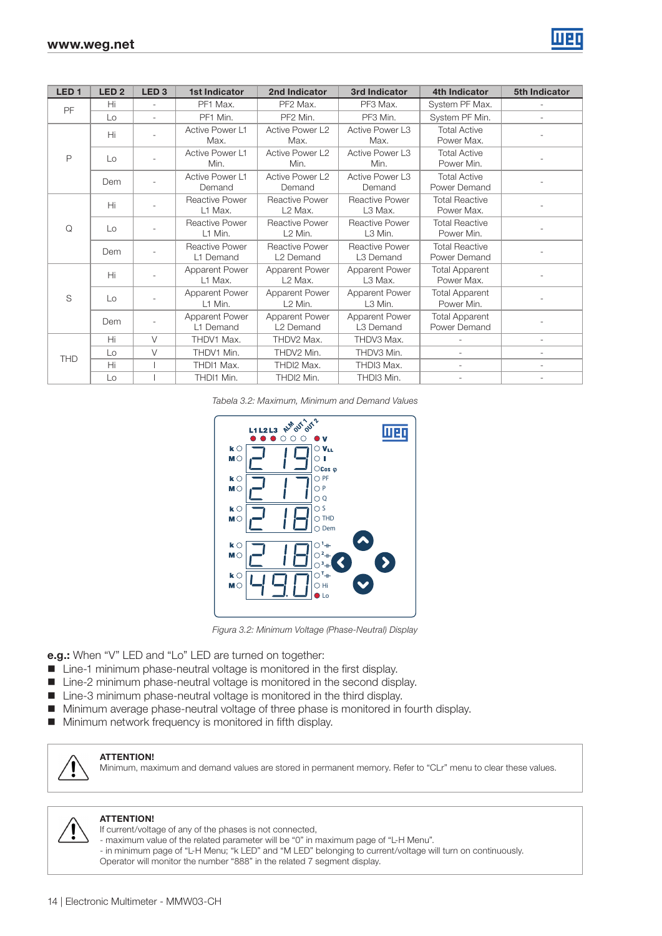

| LED <sub>1</sub> | LED <sub>2</sub>  | LED <sub>3</sub> | 1st Indicator               | 2nd Indicator                                  | 3rd Indicator                      | 4th Indicator                         | <b>5th Indicator</b>     |
|------------------|-------------------|------------------|-----------------------------|------------------------------------------------|------------------------------------|---------------------------------------|--------------------------|
| <b>PF</b>        | Hi                | ÷.               | PF1 Max.                    | PF <sub>2</sub> Max.                           | PF3 Max.                           | System PF Max.                        |                          |
|                  | $\mathsf{L}\circ$ | L.               | PF1 Min.                    | PF2 Min.                                       | PF3 Min.                           | System PF Min.                        | $\overline{\phantom{0}}$ |
|                  | Hi                |                  | Active Power L1<br>Max.     | Active Power L2<br>Max.                        | Active Power L3<br>Max.            | <b>Total Active</b><br>Power Max.     |                          |
| P                | $\mathsf{L}\circ$ |                  | Active Power L1<br>Min.     | Active Power L2<br>Min.                        | Active Power L3<br>Min.            | <b>Total Active</b><br>Power Min.     |                          |
|                  | Dem               |                  | Active Power L1<br>Demand   | Active Power L2<br>Demand                      | Active Power L3<br>Demand          | <b>Total Active</b><br>Power Demand   |                          |
|                  | Hi                |                  | Reactive Power<br>L1 Max.   | <b>Reactive Power</b><br>L <sub>2</sub> Max.   | Reactive Power<br>L3 Max.          | <b>Total Reactive</b><br>Power Max.   |                          |
| Q                | $\mathsf{L}\circ$ |                  | Reactive Power<br>L1 Min.   | <b>Reactive Power</b><br>L <sub>2</sub> Min.   | Reactive Power<br>L3 Min.          | <b>Total Reactive</b><br>Power Min.   |                          |
|                  | Dem               |                  | Reactive Power<br>L1 Demand | <b>Reactive Power</b><br>L <sub>2</sub> Demand | Reactive Power<br>L3 Demand        | <b>Total Reactive</b><br>Power Demand |                          |
|                  | Hi                |                  | Apparent Power<br>L1 Max.   | Apparent Power<br>L <sub>2</sub> Max.          | <b>Apparent Power</b><br>L3 Max.   | <b>Total Apparent</b><br>Power Max.   |                          |
| S                | $\mathsf{L}\circ$ |                  | Apparent Power<br>L1 Min.   | Apparent Power<br>L <sub>2</sub> Min.          | <b>Apparent Power</b><br>L3 Min.   | <b>Total Apparent</b><br>Power Min.   |                          |
|                  | Dem               |                  | Apparent Power<br>L1 Demand | Apparent Power<br>L <sub>2</sub> Demand        | <b>Apparent Power</b><br>L3 Demand | <b>Total Apparent</b><br>Power Demand |                          |
|                  | Hi                | $\vee$           | THDV1 Max.                  | THDV2 Max.                                     | THDV3 Max.                         |                                       |                          |
| <b>THD</b>       | Lo                | $\vee$           | THDV1 Min.                  | THDV2 Min.                                     | THDV3 Min.                         |                                       |                          |
|                  | Hi                |                  | THDI1 Max.                  | THDI2 Max.                                     | THDI3 Max.                         | ÷                                     | $\overline{\phantom{0}}$ |
|                  | Lo                |                  | THDI1 Min.                  | THDI2 Min.                                     | THDI3 Min.                         |                                       |                          |

Tabela 3.2: Maximum, Minimum and Demand Values



Figura 3.2: Minimum Voltage (Phase-Neutral) Display

e.g.: When "V" LED and "Lo" LED are turned on together:

- Line-1 minimum phase-neutral voltage is monitored in the first display.
- Line-2 minimum phase-neutral voltage is monitored in the second display.
- Line-3 minimum phase-neutral voltage is monitored in the third display.
- Minimum average phase-neutral voltage of three phase is monitored in fourth display.
- **Minimum network frequency is monitored in fifth display.**

#### ATTENTION!

Minimum, maximum and demand values are stored in permanent memory. Refer to "CLr" menu to clear these values.



#### ATTENTION!

- If current/voltage of any of the phases is not connected,
- maximum value of the related parameter will be "0" in maximum page of "L-H Menu".
- in minimum page of "L-H Menu; "k LED" and "M LED" belonging to current/voltage will turn on continuously. Operator will monitor the number "888" in the related 7 segment display.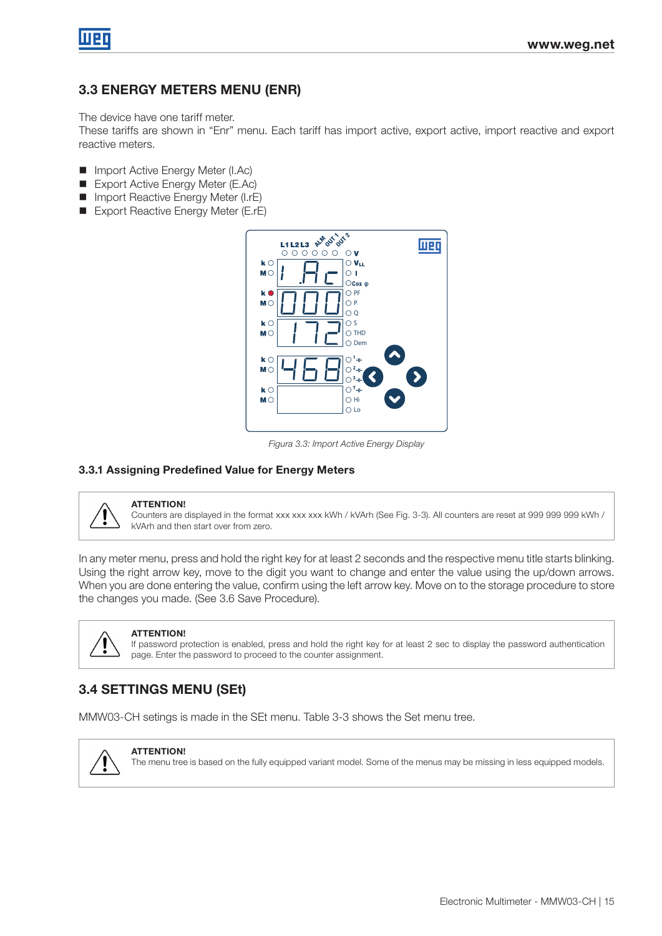

### 3.3 ENERGY METERS MENU (ENR)

The device have one tariff meter.

These tariffs are shown in "Enr" menu. Each tariff has import active, export active, import reactive and export reactive meters.

- Import Active Energy Meter (I.Ac)
- Export Active Energy Meter (E.Ac)
- **Import Reactive Energy Meter (I.rE)**
- Export Reactive Energy Meter (E.rE)



Figura 3.3: Import Active Energy Display

#### 3.3.1 Assigning Predefined Value for Energy Meters



#### ATTENTION!

Counters are displayed in the format xxx xxx xxx kWh / kVArh (See Fig. 3-3). All counters are reset at 999 999 999 kWh / kVArh and then start over from zero.

In any meter menu, press and hold the right key for at least 2 seconds and the respective menu title starts blinking. Using the right arrow key, move to the digit you want to change and enter the value using the up/down arrows. When you are done entering the value, confirm using the left arrow key. Move on to the storage procedure to store the changes you made. (See 3.6 Save Procedure).



#### ATTENTION!

If password protection is enabled, press and hold the right key for at least 2 sec to display the password authentication page. Enter the password to proceed to the counter assignment.

# 3.4 SETTINGS MENU (SEt)

MMW03-CH setings is made in the SEt menu. Table 3-3 shows the Set menu tree.



**ATTENTION!** 

The menu tree is based on the fully equipped variant model. Some of the menus may be missing in less equipped models.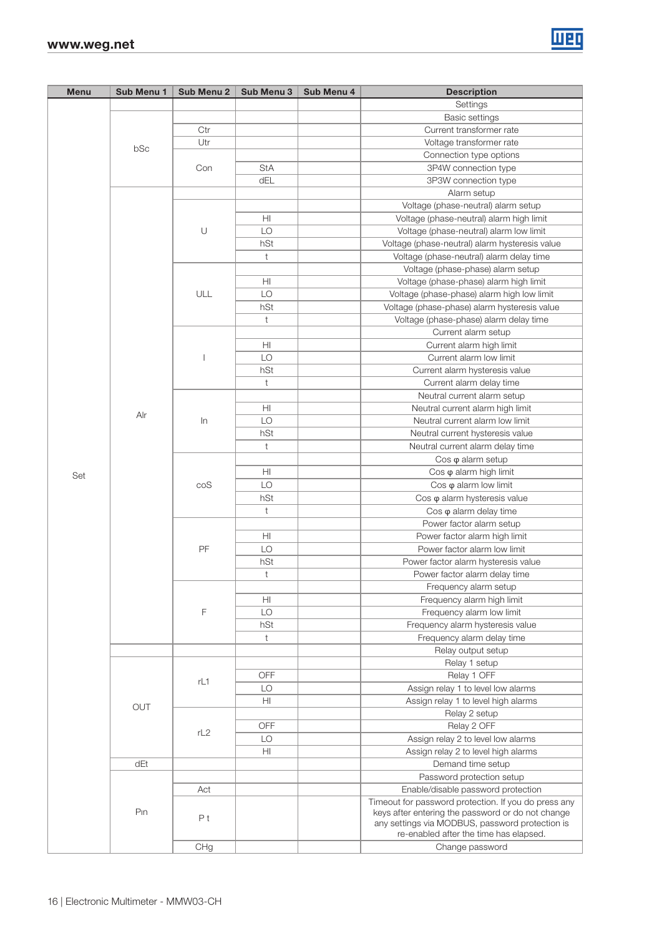| Menu | Sub Menu 1      | Sub Menu 2 | Sub Menu 3     | Sub Menu 4 | <b>Description</b>                                                                                        |
|------|-----------------|------------|----------------|------------|-----------------------------------------------------------------------------------------------------------|
|      |                 |            |                |            | Settings                                                                                                  |
|      |                 |            |                |            | <b>Basic settings</b>                                                                                     |
|      |                 | Ctr        |                |            | Current transformer rate                                                                                  |
|      |                 | Utr        |                |            | Voltage transformer rate                                                                                  |
|      | bSc             |            |                |            | Connection type options                                                                                   |
|      |                 | Con        | <b>StA</b>     |            | 3P4W connection type                                                                                      |
|      |                 |            | dEL            |            | 3P3W connection type                                                                                      |
|      |                 |            |                |            | Alarm setup                                                                                               |
|      |                 |            |                |            | Voltage (phase-neutral) alarm setup                                                                       |
|      |                 |            | H <sub>l</sub> |            | Voltage (phase-neutral) alarm high limit                                                                  |
|      |                 | $\cup$     | LO             |            | Voltage (phase-neutral) alarm low limit                                                                   |
|      |                 |            | hSt            |            | Voltage (phase-neutral) alarm hysteresis value                                                            |
|      |                 |            | t              |            | Voltage (phase-neutral) alarm delay time                                                                  |
|      |                 |            |                |            | Voltage (phase-phase) alarm setup                                                                         |
|      |                 |            | H <sub>l</sub> |            | Voltage (phase-phase) alarm high limit                                                                    |
|      |                 | ULL        | LO             |            |                                                                                                           |
|      |                 |            | hSt            |            | Voltage (phase-phase) alarm high low limit                                                                |
|      |                 |            |                |            | Voltage (phase-phase) alarm hysteresis value                                                              |
|      |                 |            | $\ddagger$     |            | Voltage (phase-phase) alarm delay time                                                                    |
|      |                 |            |                |            | Current alarm setup                                                                                       |
|      |                 |            | HI             |            | Current alarm high limit                                                                                  |
|      |                 | I          | LO             |            | Current alarm low limit                                                                                   |
|      |                 |            | hSt            |            | Current alarm hysteresis value                                                                            |
|      |                 |            | t              |            | Current alarm delay time                                                                                  |
|      |                 |            |                |            | Neutral current alarm setup                                                                               |
|      | Alr             |            | HI             |            | Neutral current alarm high limit                                                                          |
|      |                 | $\ln$      | LO             |            | Neutral current alarm low limit                                                                           |
|      |                 |            | hSt            |            | Neutral current hysteresis value                                                                          |
|      |                 |            | $\ddagger$     |            | Neutral current alarm delay time                                                                          |
|      |                 |            |                |            | $\cos \varphi$ alarm setup                                                                                |
| Set  |                 |            | HI             |            | Cos $\varphi$ alarm high limit                                                                            |
|      |                 | coS        | LO             |            | $\cos \varphi$ alarm low limit                                                                            |
|      |                 |            | hSt            |            | Cos $\varphi$ alarm hysteresis value                                                                      |
|      |                 |            | t              |            | $\cos \varphi$ alarm delay time                                                                           |
|      |                 |            |                |            | Power factor alarm setup                                                                                  |
|      |                 |            | HI             |            | Power factor alarm high limit                                                                             |
|      |                 | PF         | LO             |            | Power factor alarm low limit                                                                              |
|      |                 |            | hSt            |            | Power factor alarm hysteresis value                                                                       |
|      |                 |            | $\mathsf t$    |            | Power factor alarm delay time                                                                             |
|      |                 |            |                |            | Frequency alarm setup                                                                                     |
|      |                 |            | HI             |            | Frequency alarm high limit                                                                                |
|      |                 | F          | LO             |            | Frequency alarm low limit                                                                                 |
|      |                 |            | hSt            |            | Frequency alarm hysteresis value                                                                          |
|      |                 |            | $\mathsf t$    |            | Frequency alarm delay time                                                                                |
|      |                 |            |                |            | Relay output setup                                                                                        |
|      |                 |            |                |            | Relay 1 setup                                                                                             |
|      |                 |            | OFF            |            | Relay 1 OFF                                                                                               |
|      |                 | rL1        | LO             |            | Assign relay 1 to level low alarms                                                                        |
|      |                 |            | ΗI             |            | Assign relay 1 to level high alarms                                                                       |
|      | OUT             |            |                |            | Relay 2 setup                                                                                             |
|      |                 |            | <b>OFF</b>     |            | Relay 2 OFF                                                                                               |
|      |                 | rL2        | LO             |            | Assign relay 2 to level low alarms                                                                        |
|      |                 |            | ΗI             |            | Assign relay 2 to level high alarms                                                                       |
|      | dEt             |            |                |            | Demand time setup                                                                                         |
|      |                 |            |                |            |                                                                                                           |
|      |                 |            |                |            | Password protection setup<br>Enable/disable password protection                                           |
|      |                 | Act        |                |            |                                                                                                           |
|      | P <sub>In</sub> |            |                |            | Timeout for password protection. If you do press any<br>keys after entering the password or do not change |
|      |                 | Pt         |                |            | any settings via MODBUS, password protection is                                                           |
|      |                 |            |                |            | re-enabled after the time has elapsed.                                                                    |
|      |                 | CHg        |                |            | Change password                                                                                           |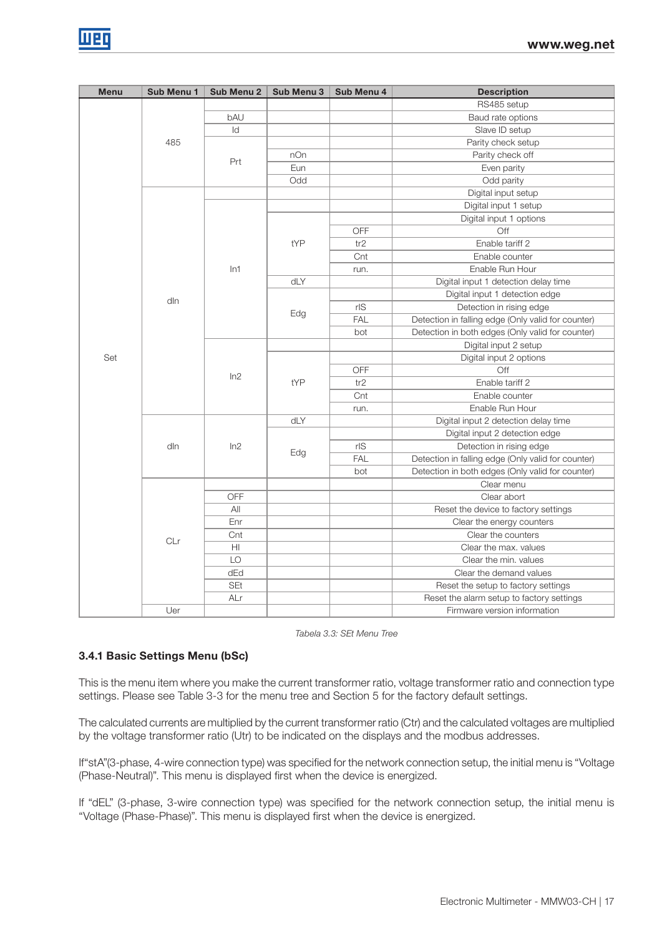| <b>Menu</b> | Sub Menu 1 | Sub Menu 2              | Sub Menu 3 | Sub Menu 4 | <b>Description</b>                                 |
|-------------|------------|-------------------------|------------|------------|----------------------------------------------------|
|             |            |                         |            |            | RS485 setup                                        |
|             |            | bAU                     |            |            | Baud rate options                                  |
|             |            | ld                      |            |            | Slave ID setup                                     |
|             | 485        |                         |            |            | Parity check setup                                 |
|             |            |                         | nOn        |            | Parity check off                                   |
|             |            | Prt                     | Eun        |            | Even parity                                        |
|             |            |                         | Odd        |            | Odd parity                                         |
|             |            |                         |            |            | Digital input setup                                |
|             |            |                         |            |            | Digital input 1 setup                              |
|             |            |                         |            |            | Digital input 1 options                            |
|             |            |                         |            | OFF        | Off                                                |
|             |            |                         | tYP        | tr2        | Enable tariff 2                                    |
|             |            |                         |            | Cnt        | Enable counter                                     |
|             |            | In1                     |            | run.       | Enable Run Hour                                    |
|             |            |                         | dLY        |            | Digital input 1 detection delay time               |
|             |            |                         |            |            | Digital input 1 detection edge                     |
|             | dln        |                         | Edg        | rlS        | Detection in rising edge                           |
|             |            |                         |            | <b>FAL</b> | Detection in falling edge (Only valid for counter) |
|             |            |                         |            | bot        | Detection in both edges (Only valid for counter)   |
|             |            |                         |            |            | Digital input 2 setup                              |
| Set         |            | ln2                     | tYP        |            | Digital input 2 options                            |
|             |            |                         |            | OFF        | Off                                                |
|             |            |                         |            | tr2        | Enable tariff 2                                    |
|             |            |                         |            | Cnt        | Enable counter                                     |
|             |            |                         |            | run.       | Enable Run Hour                                    |
|             |            |                         | dLY        |            | Digital input 2 detection delay time               |
|             |            |                         |            |            | Digital input 2 detection edge                     |
|             | dln        | ln2                     |            | rS         | Detection in rising edge                           |
|             |            |                         | Edg        | <b>FAL</b> | Detection in falling edge (Only valid for counter) |
|             |            |                         |            | bot        | Detection in both edges (Only valid for counter)   |
|             |            |                         |            |            | Clear menu                                         |
|             |            | OFF                     |            |            | Clear abort                                        |
|             |            | All                     |            |            | Reset the device to factory settings               |
|             |            | Enr                     |            |            | Clear the energy counters                          |
|             |            | Cnt                     |            |            | Clear the counters                                 |
|             | CLr        | $\overline{\mathsf{H}}$ |            |            | Clear the max. values                              |
|             |            | LO                      |            |            | Clear the min. values                              |
|             |            | dEd                     |            |            | Clear the demand values                            |
|             |            | SEt                     |            |            | Reset the setup to factory settings                |
|             |            | ALr                     |            |            | Reset the alarm setup to factory settings          |
|             | Uer        |                         |            |            | Firmware version information                       |

Tabela 3.3: SEt Menu Tree

### 3.4.1 Basic Settings Menu (bSc)

This is the menu item where you make the current transformer ratio, voltage transformer ratio and connection type settings. Please see Table 3-3 for the menu tree and Section 5 for the factory default settings.

The calculated currents are multiplied by the current transformer ratio (Ctr) and the calculated voltages are multiplied by the voltage transformer ratio (Utr) to be indicated on the displays and the modbus addresses.

If"stA"(3-phase, 4-wire connection type) was specified for the network connection setup, the initial menu is "Voltage (Phase-Neutral)". This menu is displayed first when the device is energized.

If "dEL" (3-phase, 3-wire connection type) was specified for the network connection setup, the initial menu is "Voltage (Phase-Phase)". This menu is displayed first when the device is energized.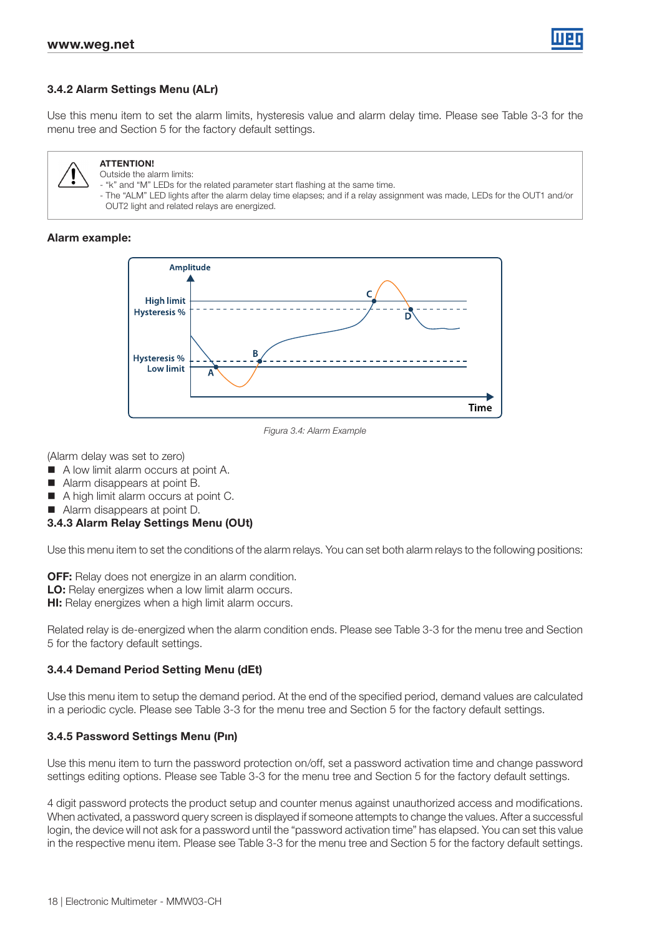

### 3.4.2 Alarm Settings Menu (ALr)

Use this menu item to set the alarm limits, hysteresis value and alarm delay time. Please see Table 3-3 for the menu tree and Section 5 for the factory default settings.



#### ATTENTION! Outside the alarm limits:

- "k" and "M" LEDs for the related parameter start flashing at the same time.

- The "ALM" LED lights after the alarm delay time elapses; and if a relay assignment was made, LEDs for the OUT1 and/or OUT2 light and related relays are energized.

#### Alarm example:



Figura 3.4: Alarm Example

(Alarm delay was set to zero)

- A low limit alarm occurs at point A.
- Alarm disappears at point B.
- A high limit alarm occurs at point C.
- Alarm disappears at point D.

#### 3.4.3 Alarm Relay Settings Menu (OUt)

Use this menu item to set the conditions of the alarm relays. You can set both alarm relays to the following positions:

OFF: Relay does not energize in an alarm condition.

LO: Relay energizes when a low limit alarm occurs.

**HI:** Relay energizes when a high limit alarm occurs.

Related relay is de-energized when the alarm condition ends. Please see Table 3-3 for the menu tree and Section 5 for the factory default settings.

#### 3.4.4 Demand Period Setting Menu (dEt)

Use this menu item to setup the demand period. At the end of the specified period, demand values are calculated in a periodic cycle. Please see Table 3-3 for the menu tree and Section 5 for the factory default settings.

#### 3.4.5 Password Settings Menu (Pın)

Use this menu item to turn the password protection on/off, set a password activation time and change password settings editing options. Please see Table 3-3 for the menu tree and Section 5 for the factory default settings.

4 digit password protects the product setup and counter menus against unauthorized access and modifications. When activated, a password query screen is displayed if someone attempts to change the values. After a successful login, the device will not ask for a password until the "password activation time" has elapsed. You can set this value in the respective menu item. Please see Table 3-3 for the menu tree and Section 5 for the factory default settings.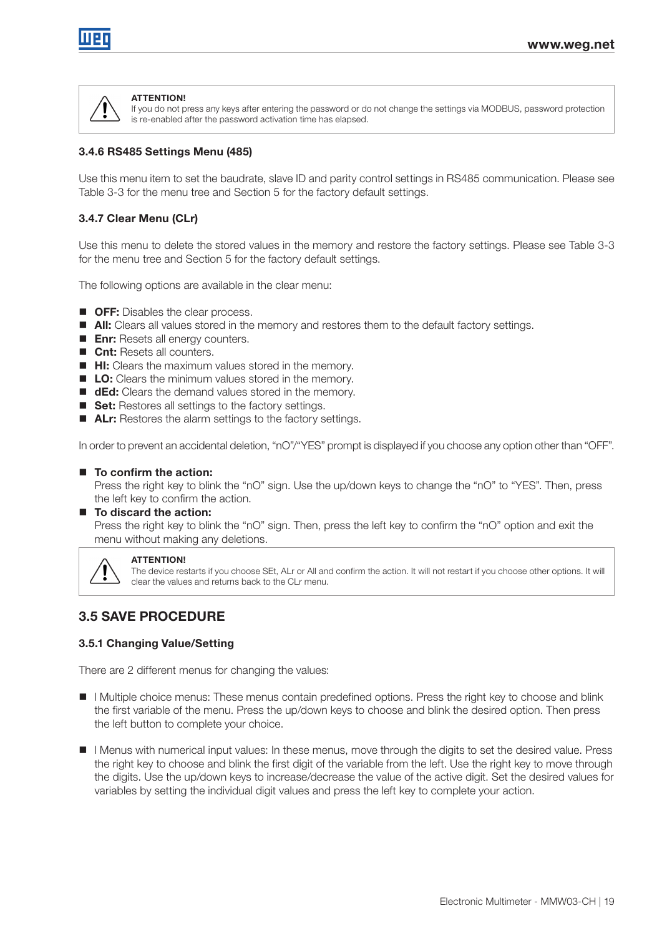

#### **ATTENTION!**

If you do not press any keys after entering the password or do not change the settings via MODBUS, password protection is re-enabled after the password activation time has elapsed.

#### 3.4.6 RS485 Settings Menu (485)

Use this menu item to set the baudrate, slave ID and parity control settings in RS485 communication. Please see Table 3-3 for the menu tree and Section 5 for the factory default settings.

#### 3.4.7 Clear Menu (CLr)

Use this menu to delete the stored values in the memory and restore the factory settings. Please see Table 3-3 for the menu tree and Section 5 for the factory default settings.

The following options are available in the clear menu:

- **OFF:** Disables the clear process.
- **All:** Clears all values stored in the memory and restores them to the default factory settings.
- **Enr:** Resets all energy counters.
- **Cnt:** Resets all counters.
- **HI:** Clears the maximum values stored in the memory.
- **LO:** Clears the minimum values stored in the memory.
- **ded:** Clears the demand values stored in the memory.
- Set: Restores all settings to the factory settings.
- **ALr:** Restores the alarm settings to the factory settings.

In order to prevent an accidental deletion, "nO"/"YES" prompt is displayed if you choose any option other than "OFF".

#### ■ To confirm the action:

Press the right key to blink the "nO" sign. Use the up/down keys to change the "nO" to "YES". Then, press the left key to confirm the action.

#### ■ To discard the action:

Press the right key to blink the "nO" sign. Then, press the left key to confirm the "nO" option and exit the menu without making any deletions.



#### ATTENTION!

The device restarts if you choose SEt, ALr or All and confirm the action. It will not restart if you choose other options. It will clear the values and returns back to the CLr menu.

### 3.5 SAVE PROCEDURE

#### 3.5.1 Changing Value/Setting

There are 2 different menus for changing the values:

- **If** I Multiple choice menus: These menus contain predefined options. Press the right key to choose and blink the first variable of the menu. Press the up/down keys to choose and blink the desired option. Then press the left button to complete your choice.
- l Menus with numerical input values: In these menus, move through the digits to set the desired value. Press the right key to choose and blink the first digit of the variable from the left. Use the right key to move through the digits. Use the up/down keys to increase/decrease the value of the active digit. Set the desired values for variables by setting the individual digit values and press the left key to complete your action.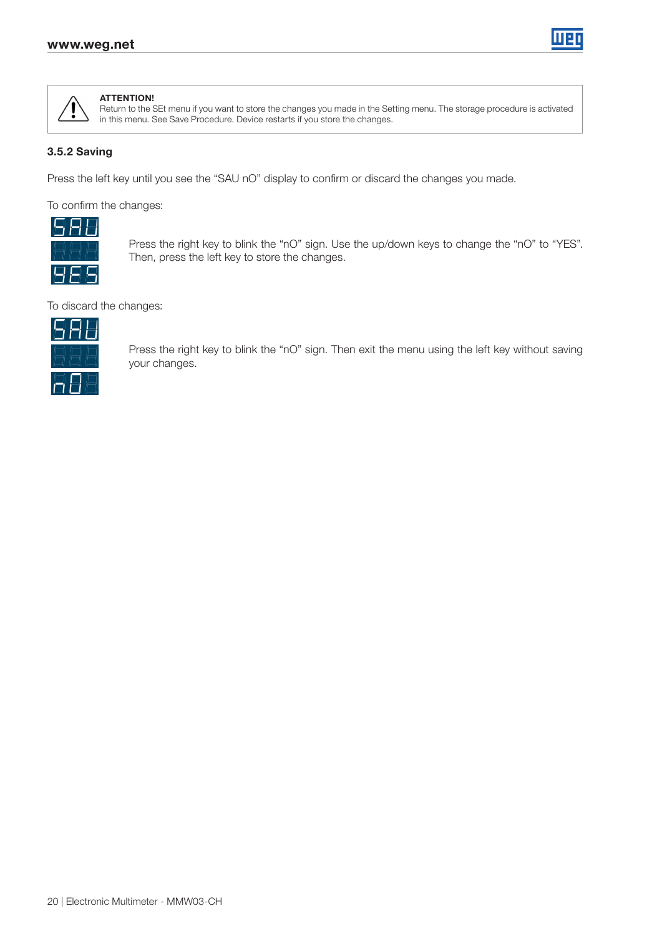



#### ATTENTION!

Return to the SEt menu if you want to store the changes you made in the Setting menu. The storage procedure is activated in this menu. See Save Procedure. Device restarts if you store the changes.

#### 3.5.2 Saving

Press the left key until you see the "SAU nO" display to confirm or discard the changes you made.

To confirm the changes:



Press the right key to blink the "nO" sign. Use the up/down keys to change the "nO" to "YES". Then, press the left key to store the changes.

To discard the changes:



Press the right key to blink the "nO" sign. Then exit the menu using the left key without saving your changes.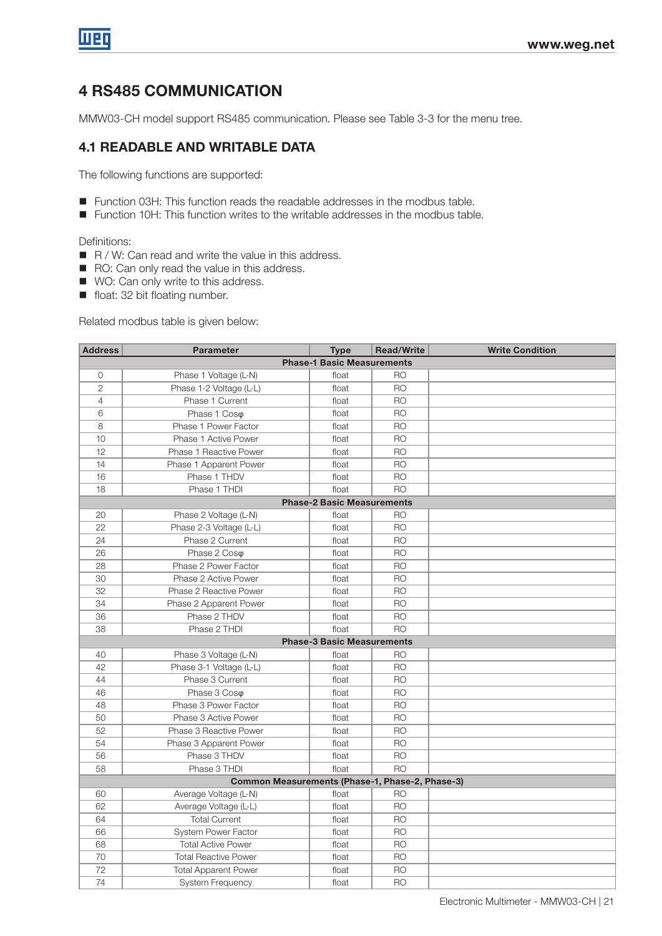# 4 RS485 COMMUNICATION

MMW03-CH model support RS485 communication. Please see Table 3-3 for the menu tree.

## 4.1 READABLE AND WRITABLE DATA

The following functions are supported:

- Function 03H: This function reads the readable addresses in the modbus table.
- Function 10H: This function writes to the writable addresses in the modbus table.

Definitions:

- $R / W$ : Can read and write the value in this address.
- RO: Can only read the value in this address.
- WO: Can only write to this address.
- float: 32 bit floating number.

Related modbus table is given below:

| <b>Address</b>                    | <b>Parameter</b>                                | <b>Type</b>                       | <b>Read/Write</b> | <b>Write Condition</b> |  |  |  |  |  |
|-----------------------------------|-------------------------------------------------|-----------------------------------|-------------------|------------------------|--|--|--|--|--|
| <b>Phase-1 Basic Measurements</b> |                                                 |                                   |                   |                        |  |  |  |  |  |
| 0                                 | Phase 1 Voltage (L-N)                           | float                             | <b>RO</b>         |                        |  |  |  |  |  |
| $\overline{2}$                    | Phase 1-2 Voltage (L-L)                         | float                             | <b>RO</b>         |                        |  |  |  |  |  |
| $\overline{4}$                    | Phase 1 Current                                 | float                             | <b>RO</b>         |                        |  |  |  |  |  |
| 6                                 | Phase 1 Coso                                    | float                             | <b>RO</b>         |                        |  |  |  |  |  |
| 8                                 | Phase 1 Power Factor                            | float                             | <b>RO</b>         |                        |  |  |  |  |  |
| 10                                | Phase 1 Active Power                            | float                             | <b>RO</b>         |                        |  |  |  |  |  |
| 12                                | Phase 1 Reactive Power                          | float                             | <b>RO</b>         |                        |  |  |  |  |  |
| 14                                | Phase 1 Apparent Power                          | float                             | <b>RO</b>         |                        |  |  |  |  |  |
| 16                                | Phase 1 THDV                                    | float                             | <b>RO</b>         |                        |  |  |  |  |  |
| 18                                | Phase 1 THDI                                    | float                             | <b>RO</b>         |                        |  |  |  |  |  |
|                                   |                                                 | <b>Phase-2 Basic Measurements</b> |                   |                        |  |  |  |  |  |
| 20                                | Phase 2 Voltage (L-N)                           | float                             | <b>RO</b>         |                        |  |  |  |  |  |
| 22                                | Phase 2-3 Voltage (L-L)                         | float                             | <b>RO</b>         |                        |  |  |  |  |  |
| 24                                | Phase 2 Current                                 | float                             | <b>RO</b>         |                        |  |  |  |  |  |
| 26                                | Phase 2 Coso                                    | float                             | <b>RO</b>         |                        |  |  |  |  |  |
| 28                                | Phase 2 Power Factor                            | float                             | <b>RO</b>         |                        |  |  |  |  |  |
| 30                                | Phase 2 Active Power                            | float                             | <b>RO</b>         |                        |  |  |  |  |  |
| 32                                | Phase 2 Reactive Power                          | float                             | <b>RO</b>         |                        |  |  |  |  |  |
| 34                                | Phase 2 Apparent Power                          | float                             | <b>RO</b>         |                        |  |  |  |  |  |
| 36                                | Phase 2 THDV                                    | float                             | <b>RO</b>         |                        |  |  |  |  |  |
| 38                                | Phase 2 THDI                                    | float                             | <b>RO</b>         |                        |  |  |  |  |  |
|                                   |                                                 | <b>Phase-3 Basic Measurements</b> |                   |                        |  |  |  |  |  |
| 40                                | Phase 3 Voltage (L-N)                           | float                             | <b>RO</b>         |                        |  |  |  |  |  |
| 42                                | Phase 3-1 Voltage (L-L)                         | float                             | <b>RO</b>         |                        |  |  |  |  |  |
| 44                                | Phase 3 Current                                 | float                             | <b>RO</b>         |                        |  |  |  |  |  |
| 46                                | Phase 3 Coso                                    | float                             | <b>RO</b>         |                        |  |  |  |  |  |
| 48                                | Phase 3 Power Factor                            | float                             | <b>RO</b>         |                        |  |  |  |  |  |
| 50                                | Phase 3 Active Power                            | float                             | <b>RO</b>         |                        |  |  |  |  |  |
| 52                                | Phase 3 Reactive Power                          | float                             | R <sub>O</sub>    |                        |  |  |  |  |  |
| 54                                | Phase 3 Apparent Power                          | float                             | <b>RO</b>         |                        |  |  |  |  |  |
| 56                                | Phase 3 THDV                                    | float                             | <b>RO</b>         |                        |  |  |  |  |  |
| 58                                | Phase 3 THDI                                    | float                             | <b>RO</b>         |                        |  |  |  |  |  |
|                                   | Common Measurements (Phase-1, Phase-2, Phase-3) |                                   |                   |                        |  |  |  |  |  |
| 60                                | Average Voltage (L-N)                           | float                             | <b>RO</b>         |                        |  |  |  |  |  |
| 62                                | Average Voltage (L-L)                           | float                             | R <sub>O</sub>    |                        |  |  |  |  |  |
| 64                                | <b>Total Current</b>                            | float                             | <b>RO</b>         |                        |  |  |  |  |  |
| 66                                | <b>System Power Factor</b>                      | float                             | <b>RO</b>         |                        |  |  |  |  |  |
| 68                                | <b>Total Active Power</b>                       | float                             | <b>RO</b>         |                        |  |  |  |  |  |
| 70                                | <b>Total Reactive Power</b>                     | float                             | <b>RO</b>         |                        |  |  |  |  |  |
| 72                                | <b>Total Apparent Power</b>                     | float                             | <b>RO</b>         |                        |  |  |  |  |  |
| 74                                | <b>System Frequency</b>                         | float                             | <b>RO</b>         |                        |  |  |  |  |  |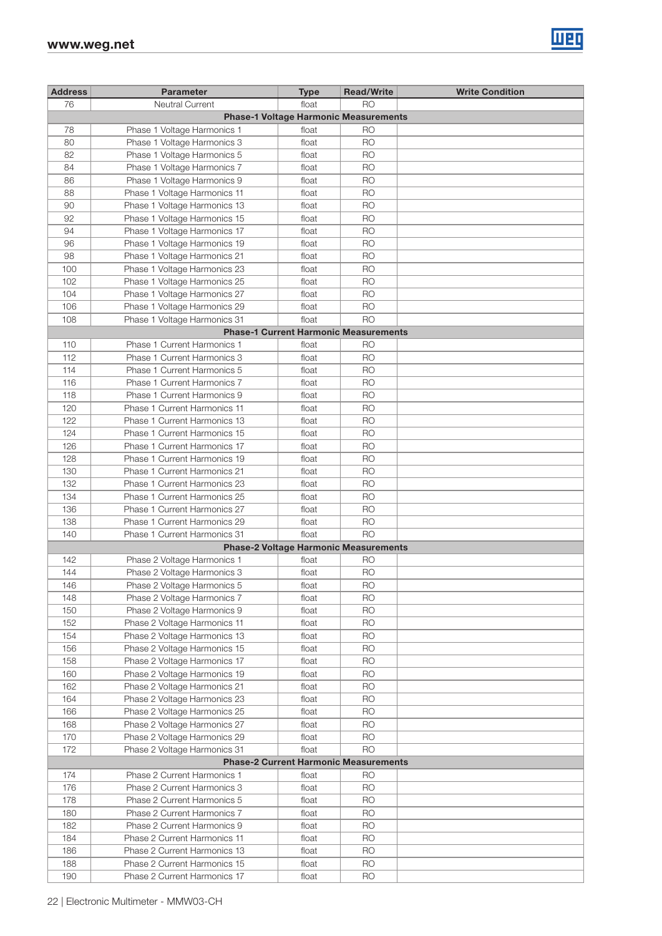

| <b>Address</b> | <b>Parameter</b>             | <b>Type</b>                                  | <b>Read/Write</b> | <b>Write Condition</b> |
|----------------|------------------------------|----------------------------------------------|-------------------|------------------------|
| 76             | Neutral Current              | float                                        | <b>RO</b>         |                        |
|                |                              |                                              |                   |                        |
|                |                              | <b>Phase-1 Voltage Harmonic Measurements</b> |                   |                        |
| 78             | Phase 1 Voltage Harmonics 1  | float                                        | RO                |                        |
| 80             | Phase 1 Voltage Harmonics 3  | float                                        | <b>RO</b>         |                        |
| 82             | Phase 1 Voltage Harmonics 5  | float                                        | <b>RO</b>         |                        |
| 84             | Phase 1 Voltage Harmonics 7  | float                                        | <b>RO</b>         |                        |
| 86             | Phase 1 Voltage Harmonics 9  | float                                        | <b>RO</b>         |                        |
| 88             | Phase 1 Voltage Harmonics 11 | float                                        | <b>RO</b>         |                        |
|                |                              |                                              |                   |                        |
| 90             | Phase 1 Voltage Harmonics 13 | float                                        | R <sub>O</sub>    |                        |
| 92             | Phase 1 Voltage Harmonics 15 | float                                        | <b>RO</b>         |                        |
| 94             | Phase 1 Voltage Harmonics 17 | float                                        | <b>RO</b>         |                        |
| 96             | Phase 1 Voltage Harmonics 19 | float                                        | <b>RO</b>         |                        |
| 98             | Phase 1 Voltage Harmonics 21 | float                                        | <b>RO</b>         |                        |
| 100            | Phase 1 Voltage Harmonics 23 | float                                        | <b>RO</b>         |                        |
| 102            | Phase 1 Voltage Harmonics 25 | float                                        | <b>RO</b>         |                        |
|                |                              |                                              |                   |                        |
| 104            | Phase 1 Voltage Harmonics 27 | float                                        | <b>RO</b>         |                        |
| 106            | Phase 1 Voltage Harmonics 29 | float                                        | <b>RO</b>         |                        |
| 108            | Phase 1 Voltage Harmonics 31 | float                                        | <b>RO</b>         |                        |
|                |                              | <b>Phase-1 Current Harmonic Measurements</b> |                   |                        |
| 110            | Phase 1 Current Harmonics 1  | float                                        | <b>RO</b>         |                        |
| 112            | Phase 1 Current Harmonics 3  | float                                        | <b>RO</b>         |                        |
| 114            | Phase 1 Current Harmonics 5  | float                                        | <b>RO</b>         |                        |
|                |                              |                                              |                   |                        |
| 116            | Phase 1 Current Harmonics 7  | float                                        | <b>RO</b>         |                        |
| 118            | Phase 1 Current Harmonics 9  | float                                        | <b>RO</b>         |                        |
| 120            | Phase 1 Current Harmonics 11 | float                                        | <b>RO</b>         |                        |
| 122            | Phase 1 Current Harmonics 13 | float                                        | <b>RO</b>         |                        |
| 124            | Phase 1 Current Harmonics 15 | float                                        | <b>RO</b>         |                        |
| 126            | Phase 1 Current Harmonics 17 | float                                        | <b>RO</b>         |                        |
| 128            | Phase 1 Current Harmonics 19 | float                                        | <b>RO</b>         |                        |
|                |                              |                                              |                   |                        |
| 130            | Phase 1 Current Harmonics 21 | float                                        | R <sub>O</sub>    |                        |
| 132            | Phase 1 Current Harmonics 23 | float                                        | R <sub>O</sub>    |                        |
| 134            | Phase 1 Current Harmonics 25 | float                                        | <b>RO</b>         |                        |
| 136            | Phase 1 Current Harmonics 27 | float                                        | <b>RO</b>         |                        |
| 138            | Phase 1 Current Harmonics 29 | float                                        | <b>RO</b>         |                        |
| 140            | Phase 1 Current Harmonics 31 | float                                        | <b>RO</b>         |                        |
|                |                              | <b>Phase-2 Voltage Harmonic Measurements</b> |                   |                        |
|                |                              |                                              |                   |                        |
| 142            | Phase 2 Voltage Harmonics 1  | float                                        | RO                |                        |
| 144            | Phase 2 Voltage Harmonics 3  | float                                        | <b>RO</b>         |                        |
| 146            | Phase 2 Voltage Harmonics 5  | float                                        | <b>RO</b>         |                        |
| 148            | Phase 2 Voltage Harmonics 7  | float                                        | <b>RO</b>         |                        |
| 150            | Phase 2 Voltage Harmonics 9  | float                                        | <b>RO</b>         |                        |
| 152            | Phase 2 Voltage Harmonics 11 | float                                        | <b>RO</b>         |                        |
| 154            | Phase 2 Voltage Harmonics 13 | float                                        | <b>RO</b>         |                        |
|                |                              |                                              |                   |                        |
| 156            | Phase 2 Voltage Harmonics 15 | float                                        | <b>RO</b>         |                        |
| 158            | Phase 2 Voltage Harmonics 17 | float                                        | <b>RO</b>         |                        |
| 160            | Phase 2 Voltage Harmonics 19 | float                                        | <b>RO</b>         |                        |
| 162            | Phase 2 Voltage Harmonics 21 | float                                        | <b>RO</b>         |                        |
| 164            | Phase 2 Voltage Harmonics 23 | float                                        | <b>RO</b>         |                        |
| 166            | Phase 2 Voltage Harmonics 25 | float                                        | <b>RO</b>         |                        |
| 168            | Phase 2 Voltage Harmonics 27 | float                                        | <b>RO</b>         |                        |
| 170            | Phase 2 Voltage Harmonics 29 | float                                        | <b>RO</b>         |                        |
|                |                              |                                              |                   |                        |
| 172            | Phase 2 Voltage Harmonics 31 | float                                        | <b>RO</b>         |                        |
|                |                              | <b>Phase-2 Current Harmonic Measurements</b> |                   |                        |
| 174            | Phase 2 Current Harmonics 1  | float                                        | <b>RO</b>         |                        |
| 176            | Phase 2 Current Harmonics 3  | float                                        | <b>RO</b>         |                        |
| 178            | Phase 2 Current Harmonics 5  | float                                        | <b>RO</b>         |                        |
| 180            | Phase 2 Current Harmonics 7  | float                                        | <b>RO</b>         |                        |
| 182            |                              |                                              | <b>RO</b>         |                        |
|                | Phase 2 Current Harmonics 9  | float                                        |                   |                        |
| 184            | Phase 2 Current Harmonics 11 | float                                        | <b>RO</b>         |                        |
| 186            | Phase 2 Current Harmonics 13 | float                                        | <b>RO</b>         |                        |
| 188            | Phase 2 Current Harmonics 15 | float                                        | <b>RO</b>         |                        |
| 190            | Phase 2 Current Harmonics 17 | float                                        | <b>RO</b>         |                        |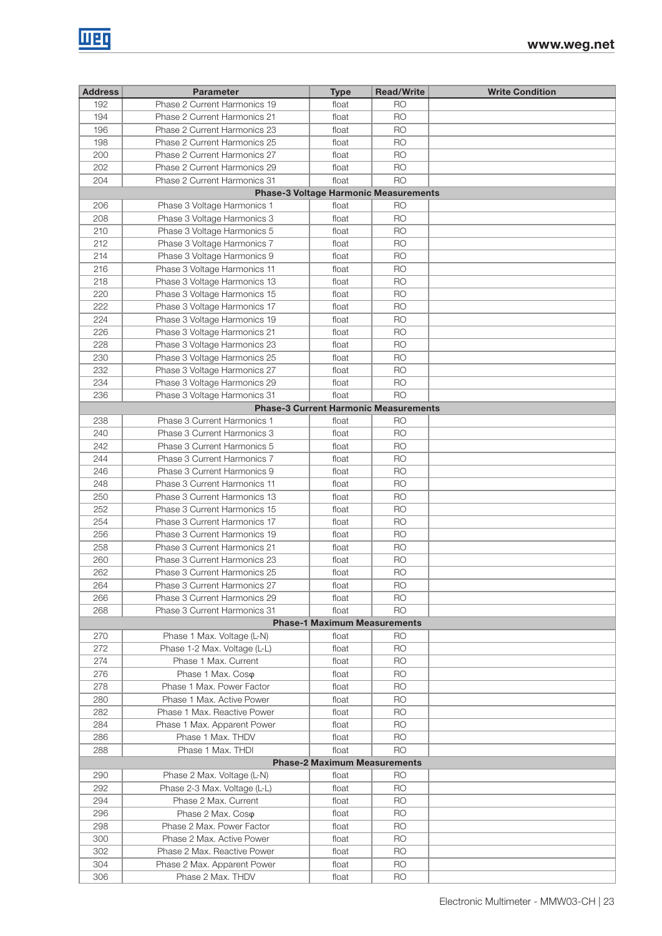| <b>Address</b>                               | <b>Parameter</b>             | <b>Type</b>                                  | <b>Read/Write</b> | <b>Write Condition</b> |  |  |  |  |  |
|----------------------------------------------|------------------------------|----------------------------------------------|-------------------|------------------------|--|--|--|--|--|
| 192                                          | Phase 2 Current Harmonics 19 | float                                        | <b>RO</b>         |                        |  |  |  |  |  |
| 194                                          | Phase 2 Current Harmonics 21 | float                                        | <b>RO</b>         |                        |  |  |  |  |  |
| 196                                          | Phase 2 Current Harmonics 23 | float                                        | <b>RO</b>         |                        |  |  |  |  |  |
| 198                                          | Phase 2 Current Harmonics 25 | float                                        | <b>RO</b>         |                        |  |  |  |  |  |
| 200                                          | Phase 2 Current Harmonics 27 | float                                        | R <sub>O</sub>    |                        |  |  |  |  |  |
| 202                                          | Phase 2 Current Harmonics 29 | float                                        | <b>RO</b>         |                        |  |  |  |  |  |
| 204                                          | Phase 2 Current Harmonics 31 | float                                        | <b>RO</b>         |                        |  |  |  |  |  |
| <b>Phase-3 Voltage Harmonic Measurements</b> |                              |                                              |                   |                        |  |  |  |  |  |
| 206                                          | Phase 3 Voltage Harmonics 1  | float                                        | R <sub>O</sub>    |                        |  |  |  |  |  |
| 208                                          | Phase 3 Voltage Harmonics 3  | float                                        | <b>RO</b>         |                        |  |  |  |  |  |
| 210                                          | Phase 3 Voltage Harmonics 5  | float                                        | <b>RO</b>         |                        |  |  |  |  |  |
| 212                                          | Phase 3 Voltage Harmonics 7  | float                                        | <b>RO</b>         |                        |  |  |  |  |  |
| 214                                          | Phase 3 Voltage Harmonics 9  | float                                        | R <sub>O</sub>    |                        |  |  |  |  |  |
| 216                                          | Phase 3 Voltage Harmonics 11 | float                                        | <b>RO</b>         |                        |  |  |  |  |  |
| 218                                          | Phase 3 Voltage Harmonics 13 | float                                        | R <sub>O</sub>    |                        |  |  |  |  |  |
| 220                                          | Phase 3 Voltage Harmonics 15 | float                                        | <b>RO</b>         |                        |  |  |  |  |  |
| 222                                          | Phase 3 Voltage Harmonics 17 | float                                        | R <sub>O</sub>    |                        |  |  |  |  |  |
| 224                                          | Phase 3 Voltage Harmonics 19 | float                                        | R <sub>O</sub>    |                        |  |  |  |  |  |
| 226                                          | Phase 3 Voltage Harmonics 21 | float                                        | <b>RO</b>         |                        |  |  |  |  |  |
| 228                                          | Phase 3 Voltage Harmonics 23 | float                                        | <b>RO</b>         |                        |  |  |  |  |  |
| 230                                          | Phase 3 Voltage Harmonics 25 | float                                        | <b>RO</b>         |                        |  |  |  |  |  |
| 232                                          | Phase 3 Voltage Harmonics 27 | float                                        | <b>RO</b>         |                        |  |  |  |  |  |
| 234                                          | Phase 3 Voltage Harmonics 29 | float                                        | R <sub>O</sub>    |                        |  |  |  |  |  |
| 236                                          | Phase 3 Voltage Harmonics 31 | float                                        | <b>RO</b>         |                        |  |  |  |  |  |
|                                              |                              | <b>Phase-3 Current Harmonic Measurements</b> |                   |                        |  |  |  |  |  |
| 238                                          | Phase 3 Current Harmonics 1  | float                                        | R <sub>O</sub>    |                        |  |  |  |  |  |
| 240                                          | Phase 3 Current Harmonics 3  | float                                        | <b>RO</b>         |                        |  |  |  |  |  |
| 242                                          | Phase 3 Current Harmonics 5  | float                                        | R <sub>O</sub>    |                        |  |  |  |  |  |
| 244                                          | Phase 3 Current Harmonics 7  | float                                        | <b>RO</b>         |                        |  |  |  |  |  |
| 246                                          | Phase 3 Current Harmonics 9  | float                                        | <b>RO</b>         |                        |  |  |  |  |  |
| 248                                          | Phase 3 Current Harmonics 11 | float                                        | <b>RO</b>         |                        |  |  |  |  |  |
| 250                                          | Phase 3 Current Harmonics 13 | float                                        | R <sub>O</sub>    |                        |  |  |  |  |  |
| 252                                          | Phase 3 Current Harmonics 15 | float                                        | R <sub>O</sub>    |                        |  |  |  |  |  |
| 254                                          | Phase 3 Current Harmonics 17 | float                                        | R <sub>O</sub>    |                        |  |  |  |  |  |
| 256                                          | Phase 3 Current Harmonics 19 | float                                        | R <sub>O</sub>    |                        |  |  |  |  |  |
| 258                                          | Phase 3 Current Harmonics 21 | float                                        | <b>RO</b>         |                        |  |  |  |  |  |
| 260                                          | Phase 3 Current Harmonics 23 | float                                        | R <sub>O</sub>    |                        |  |  |  |  |  |
| 262                                          | Phase 3 Current Harmonics 25 | float                                        | R <sub>O</sub>    |                        |  |  |  |  |  |
| 264                                          | Phase 3 Current Harmonics 27 | float                                        | <b>RO</b>         |                        |  |  |  |  |  |
| 266                                          | Phase 3 Current Harmonics 29 | float                                        | RO                |                        |  |  |  |  |  |
| 268                                          | Phase 3 Current Harmonics 31 | float                                        | <b>RO</b>         |                        |  |  |  |  |  |
|                                              |                              | <b>Phase-1 Maximum Measurements</b>          |                   |                        |  |  |  |  |  |
| 270                                          | Phase 1 Max. Voltage (L-N)   | float                                        | <b>RO</b>         |                        |  |  |  |  |  |
| 272                                          | Phase 1-2 Max. Voltage (L-L) | float                                        | <b>RO</b>         |                        |  |  |  |  |  |
| 274                                          | Phase 1 Max, Current         | float                                        | RO                |                        |  |  |  |  |  |
| 276                                          | Phase 1 Max. Coso            | float                                        | <b>RO</b>         |                        |  |  |  |  |  |
| 278                                          | Phase 1 Max. Power Factor    | float                                        | <b>RO</b>         |                        |  |  |  |  |  |
| 280                                          | Phase 1 Max. Active Power    | float                                        | RO                |                        |  |  |  |  |  |
| 282                                          | Phase 1 Max. Reactive Power  | float                                        | R <sub>O</sub>    |                        |  |  |  |  |  |
| 284                                          | Phase 1 Max. Apparent Power  | float                                        | <b>RO</b>         |                        |  |  |  |  |  |
| 286                                          | Phase 1 Max. THDV            | float                                        | R <sub>O</sub>    |                        |  |  |  |  |  |
| 288                                          | Phase 1 Max. THDI            | float                                        | <b>RO</b>         |                        |  |  |  |  |  |
|                                              |                              | <b>Phase-2 Maximum Measurements</b>          |                   |                        |  |  |  |  |  |
| 290                                          | Phase 2 Max. Voltage (L-N)   | float                                        | R <sub>O</sub>    |                        |  |  |  |  |  |
| 292                                          | Phase 2-3 Max. Voltage (L-L) | float                                        | <b>RO</b>         |                        |  |  |  |  |  |
| 294                                          | Phase 2 Max. Current         | float                                        | <b>RO</b>         |                        |  |  |  |  |  |
| 296                                          | Phase 2 Max. Coso            | float                                        | <b>RO</b>         |                        |  |  |  |  |  |
| 298                                          | Phase 2 Max. Power Factor    | float                                        | RO                |                        |  |  |  |  |  |
| 300                                          | Phase 2 Max. Active Power    | float                                        | R <sub>O</sub>    |                        |  |  |  |  |  |
| 302                                          | Phase 2 Max. Reactive Power  | float                                        | <b>RO</b>         |                        |  |  |  |  |  |
| 304                                          | Phase 2 Max. Apparent Power  | float                                        | <b>RO</b>         |                        |  |  |  |  |  |
| 306                                          | Phase 2 Max. THDV            | float                                        | <b>RO</b>         |                        |  |  |  |  |  |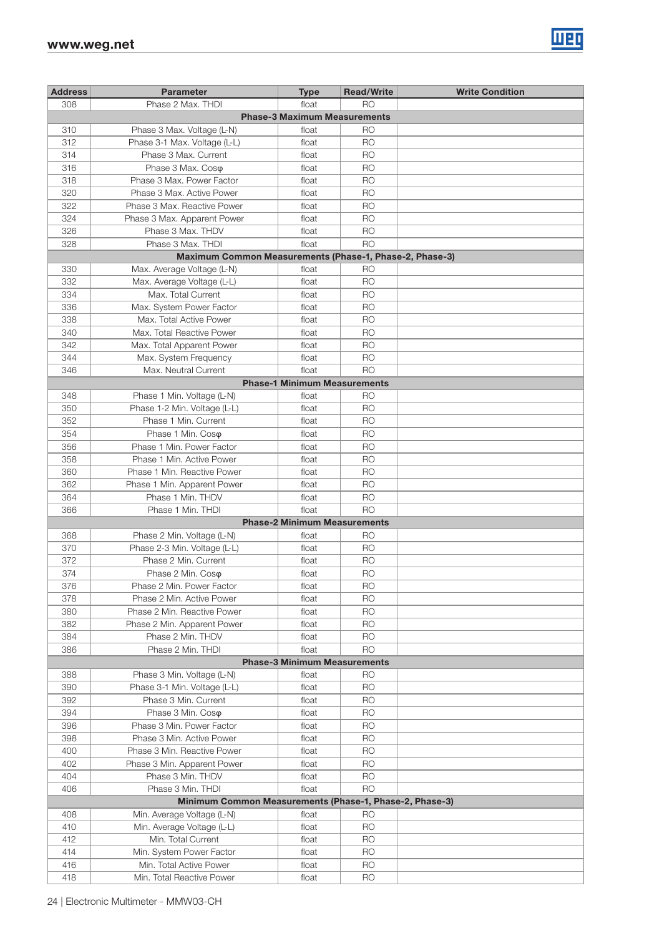

| <b>Address</b> | <b>Parameter</b>                                         | <b>Type</b>                         | <b>Read/Write</b>      | <b>Write Condition</b> |
|----------------|----------------------------------------------------------|-------------------------------------|------------------------|------------------------|
| 308            | Phase 2 Max. THDI                                        | float                               | R <sub>O</sub>         |                        |
|                |                                                          | <b>Phase-3 Maximum Measurements</b> |                        |                        |
| 310            | Phase 3 Max. Voltage (L-N)                               | float                               | RO                     |                        |
| 312            | Phase 3-1 Max. Voltage (L-L)                             | float                               | <b>RO</b>              |                        |
| 314            | Phase 3 Max. Current                                     | float                               | <b>RO</b>              |                        |
| 316            | Phase 3 Max. Coso                                        | float                               | <b>RO</b>              |                        |
| 318            | Phase 3 Max, Power Factor                                | float                               | R <sub>O</sub>         |                        |
| 320            | Phase 3 Max, Active Power                                | float                               | R <sub>O</sub>         |                        |
| 322            | Phase 3 Max. Reactive Power                              | float                               | R <sub>O</sub>         |                        |
| 324            | Phase 3 Max. Apparent Power                              | float                               | R <sub>O</sub>         |                        |
| 326            | Phase 3 Max, THDV                                        | float                               | <b>RO</b>              |                        |
| 328            | Phase 3 Max. THDI                                        | float                               | <b>RO</b>              |                        |
|                | Maximum Common Measurements (Phase-1, Phase-2, Phase-3)  |                                     |                        |                        |
| 330            | Max. Average Voltage (L-N)                               | float                               | R <sub>O</sub>         |                        |
| 332            | Max. Average Voltage (L-L)                               | float                               | <b>RO</b>              |                        |
| 334            | Max. Total Current                                       | float                               | <b>RO</b>              |                        |
| 336            | Max. System Power Factor                                 | float                               | R <sub>O</sub>         |                        |
| 338            | Max. Total Active Power                                  | float                               | R <sub>O</sub>         |                        |
| 340            | Max. Total Reactive Power                                | float                               | <b>RO</b>              |                        |
| 342            | Max. Total Apparent Power                                | float                               | R <sub>O</sub>         |                        |
| 344            | Max. System Frequency                                    | float                               | R <sub>O</sub>         |                        |
| 346            | Max. Neutral Current                                     | float                               | R <sub>O</sub>         |                        |
|                |                                                          | <b>Phase-1 Minimum Measurements</b> |                        |                        |
| 348            | Phase 1 Min. Voltage (L-N)                               | float                               | <b>RO</b>              |                        |
| 350            | Phase 1-2 Min. Voltage (L-L)                             | float                               | <b>RO</b>              |                        |
| 352            | Phase 1 Min. Current                                     | float                               | <b>RO</b>              |                        |
| 354            | Phase 1 Min. Coso                                        | float                               | R <sub>O</sub>         |                        |
| 356            | Phase 1 Min. Power Factor                                | float                               | R <sub>O</sub>         |                        |
| 358            | Phase 1 Min. Active Power                                | float                               | R <sub>O</sub>         |                        |
| 360            | Phase 1 Min. Reactive Power                              | float                               | <b>RO</b>              |                        |
| 362            | Phase 1 Min. Apparent Power                              | float                               | <b>RO</b>              |                        |
| 364            | Phase 1 Min. THDV                                        | float                               | R <sub>O</sub>         |                        |
| 366            | Phase 1 Min. THDI                                        | float                               | R <sub>O</sub>         |                        |
|                |                                                          | <b>Phase-2 Minimum Measurements</b> |                        |                        |
| 368            | Phase 2 Min. Voltage (L-N)                               | float                               | <b>RO</b>              |                        |
| 370            | Phase 2-3 Min. Voltage (L-L)                             | float                               | R <sub>O</sub>         |                        |
| 372            | Phase 2 Min. Current                                     | float                               | R <sub>O</sub>         |                        |
| 374            | Phase 2 Min. Coso                                        | float                               | R <sub>O</sub>         |                        |
| 376            | Phase 2 Min. Power Factor                                | float                               | <b>RO</b>              |                        |
| 378            | Phase 2 Min. Active Power                                | float                               | <b>RO</b>              |                        |
| 380            | Phase 2 Min. Reactive Power                              | float                               | <b>RO</b>              |                        |
| 382            | Phase 2 Min. Apparent Power                              | float                               | <b>RO</b>              |                        |
| 384            | Phase 2 Min. THDV                                        | float                               | <b>RO</b>              |                        |
| 386            | Phase 2 Min. THDI                                        | float                               | <b>RO</b>              |                        |
|                |                                                          | <b>Phase-3 Minimum Measurements</b> |                        |                        |
| 388            | Phase 3 Min. Voltage (L-N)                               | float                               | RO                     |                        |
| 390            | Phase 3-1 Min. Voltage (L-L)                             | float                               | <b>RO</b>              |                        |
| 392            | Phase 3 Min. Current                                     | float                               | R <sub>O</sub>         |                        |
| 394            | Phase 3 Min. Coso                                        | float                               | R <sub>O</sub>         |                        |
| 396            | Phase 3 Min. Power Factor                                | float                               | <b>RO</b>              |                        |
| 398            | Phase 3 Min. Active Power                                | float                               | <b>RO</b>              |                        |
| 400            | Phase 3 Min. Reactive Power                              | float                               | <b>RO</b>              |                        |
| 402            | Phase 3 Min. Apparent Power                              | float                               | <b>RO</b>              |                        |
| 404            | Phase 3 Min. THDV<br>Phase 3 Min. THDI                   | float                               | <b>RO</b><br><b>RO</b> |                        |
| 406            | Minimum Common Measurements (Phase-1, Phase-2, Phase-3)  | float                               |                        |                        |
|                |                                                          |                                     | R <sub>O</sub>         |                        |
| 408<br>410     | Min. Average Voltage (L-N)<br>Min. Average Voltage (L-L) | float<br>float                      | <b>RO</b>              |                        |
| 412            | Min. Total Current                                       | float                               | <b>RO</b>              |                        |
| 414            | Min. System Power Factor                                 | float                               | <b>RO</b>              |                        |
| 416            | Min. Total Active Power                                  | float                               | RO                     |                        |
| 418            | Min. Total Reactive Power                                | float                               | <b>RO</b>              |                        |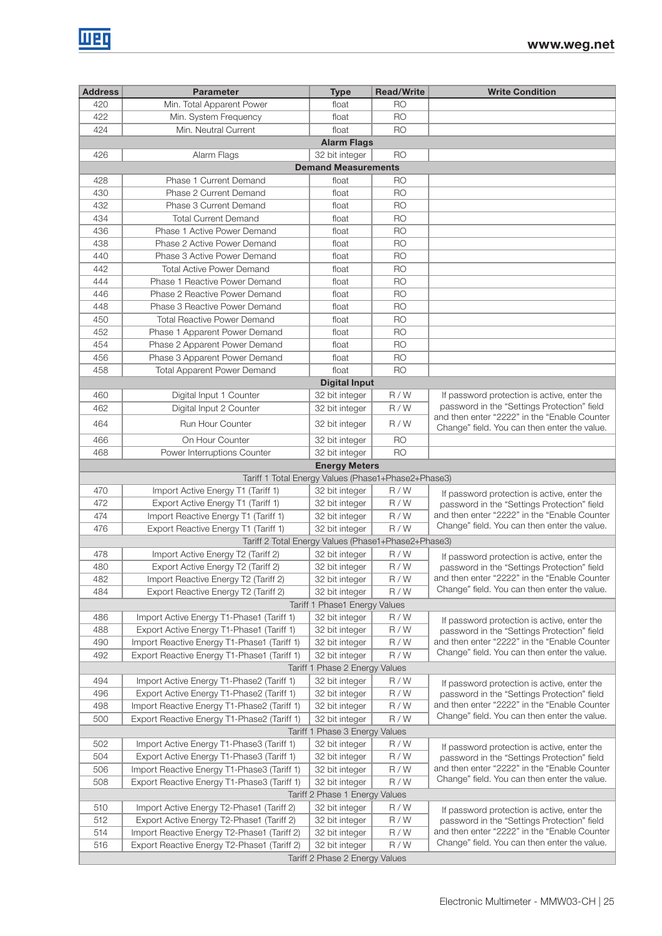| <b>Address</b> | <b>Parameter</b>                                    | <b>Type</b>                    | <b>Read/Write</b> | <b>Write Condition</b>                                                                       |
|----------------|-----------------------------------------------------|--------------------------------|-------------------|----------------------------------------------------------------------------------------------|
| 420            | Min. Total Apparent Power                           | float                          | R <sub>O</sub>    |                                                                                              |
| 422            | Min. System Frequency                               | float                          | <b>RO</b>         |                                                                                              |
| 424            | Min. Neutral Current                                | float                          | <b>RO</b>         |                                                                                              |
|                |                                                     | <b>Alarm Flags</b>             |                   |                                                                                              |
| 426            | Alarm Flags                                         | 32 bit integer                 | R <sub>O</sub>    |                                                                                              |
|                |                                                     | <b>Demand Measurements</b>     |                   |                                                                                              |
| 428            | Phase 1 Current Demand                              | float                          | <b>RO</b>         |                                                                                              |
| 430            | Phase 2 Current Demand                              | float                          | <b>RO</b>         |                                                                                              |
| 432            | Phase 3 Current Demand                              | float                          | R <sub>O</sub>    |                                                                                              |
| 434            | <b>Total Current Demand</b>                         | float                          | <b>RO</b>         |                                                                                              |
| 436            | Phase 1 Active Power Demand                         | float                          | <b>RO</b>         |                                                                                              |
| 438            | Phase 2 Active Power Demand                         | float                          | <b>RO</b>         |                                                                                              |
| 440            | Phase 3 Active Power Demand                         | float                          | <b>RO</b>         |                                                                                              |
| 442            | <b>Total Active Power Demand</b>                    | float                          | <b>RO</b>         |                                                                                              |
| 444            | Phase 1 Reactive Power Demand                       | float                          | <b>RO</b>         |                                                                                              |
| 446            | Phase 2 Reactive Power Demand                       | float                          | <b>RO</b>         |                                                                                              |
| 448            | Phase 3 Reactive Power Demand                       | float                          | <b>RO</b>         |                                                                                              |
| 450            | <b>Total Reactive Power Demand</b>                  | float                          | <b>RO</b>         |                                                                                              |
| 452            | Phase 1 Apparent Power Demand                       | float                          | R <sub>O</sub>    |                                                                                              |
| 454            | Phase 2 Apparent Power Demand                       | float                          | <b>RO</b>         |                                                                                              |
| 456            | Phase 3 Apparent Power Demand                       | float                          | <b>RO</b>         |                                                                                              |
| 458            | <b>Total Apparent Power Demand</b>                  | float                          | <b>RO</b>         |                                                                                              |
|                |                                                     | <b>Digital Input</b>           |                   |                                                                                              |
| 460            | Digital Input 1 Counter                             | 32 bit integer                 | R/W               | If password protection is active, enter the                                                  |
| 462            | Digital Input 2 Counter                             | 32 bit integer                 | R/W               | password in the "Settings Protection" field                                                  |
| 464            | <b>Run Hour Counter</b>                             | 32 bit integer                 | R/W               | and then enter "2222" in the "Enable Counter<br>Change" field. You can then enter the value. |
| 466            | On Hour Counter                                     | 32 bit integer                 | <b>RO</b>         |                                                                                              |
| 468            | Power Interruptions Counter                         | 32 bit integer                 | <b>RO</b>         |                                                                                              |
|                |                                                     | <b>Energy Meters</b>           |                   |                                                                                              |
|                | Tariff 1 Total Energy Values (Phase1+Phase2+Phase3) |                                |                   |                                                                                              |
| 470            | Import Active Energy T1 (Tariff 1)                  | 32 bit integer                 | R/W               | If password protection is active, enter the                                                  |
| 472            | Export Active Energy T1 (Tariff 1)                  | 32 bit integer                 | R/W               | password in the "Settings Protection" field                                                  |
| 474            | Import Reactive Energy T1 (Tariff 1)                | 32 bit integer                 | R/W               | and then enter "2222" in the "Enable Counter<br>Change" field. You can then enter the value. |
| 476            | Export Reactive Energy T1 (Tariff 1)                | 32 bit integer                 | R/W               |                                                                                              |
|                | Tariff 2 Total Energy Values (Phase1+Phase2+Phase3) |                                |                   |                                                                                              |
| 478            | Import Active Energy T2 (Tariff 2)                  | 32 bit integer                 | R/W               | If password protection is active, enter the                                                  |
| 480            | Export Active Energy T2 (Tariff 2)                  | 32 bit integer                 | R/W               | password in the "Settings Protection" field                                                  |
| 482            | Import Reactive Energy T2 (Tariff 2)                | 32 bit integer                 | R/W               | and then enter "2222" in the "Enable Counter<br>Change" field. You can then enter the value. |
| 484            | Export Reactive Energy T2 (Tariff 2)                | 32 bit integer                 | R/W               |                                                                                              |
|                |                                                     | Tariff 1 Phase1 Energy Values  |                   |                                                                                              |
| 486            | Import Active Energy T1-Phase1 (Tariff 1)           | 32 bit integer                 | R/W               | If password protection is active, enter the                                                  |
| 488            | Export Active Energy T1-Phase1 (Tariff 1)           | 32 bit integer                 | R/W               | password in the "Settings Protection" field                                                  |
| 490            | Import Reactive Energy T1-Phase1 (Tariff 1)         | 32 bit integer                 | R/W               | and then enter "2222" in the "Enable Counter<br>Change" field. You can then enter the value. |
| 492            | Export Reactive Energy T1-Phase1 (Tariff 1)         | 32 bit integer                 | R/W               |                                                                                              |
|                |                                                     | Tariff 1 Phase 2 Energy Values |                   |                                                                                              |
| 494            | Import Active Energy T1-Phase2 (Tariff 1)           | 32 bit integer                 | R/W               | If password protection is active, enter the                                                  |
| 496            | Export Active Energy T1-Phase2 (Tariff 1)           | 32 bit integer                 | R/W               | password in the "Settings Protection" field                                                  |
| 498            | Import Reactive Energy T1-Phase2 (Tariff 1)         | 32 bit integer                 | R/W               | and then enter "2222" in the "Enable Counter<br>Change" field. You can then enter the value. |
| 500            | Export Reactive Energy T1-Phase2 (Tariff 1)         | 32 bit integer                 | R/W               |                                                                                              |
|                |                                                     | Tariff 1 Phase 3 Energy Values |                   |                                                                                              |
| 502            | Import Active Energy T1-Phase3 (Tariff 1)           | 32 bit integer                 | R/W               | If password protection is active, enter the                                                  |
| 504            | Export Active Energy T1-Phase3 (Tariff 1)           | 32 bit integer                 | R/W               | password in the "Settings Protection" field                                                  |
| 506            | Import Reactive Energy T1-Phase3 (Tariff 1)         | 32 bit integer                 | R/W               | and then enter "2222" in the "Enable Counter<br>Change" field. You can then enter the value. |
| 508            | Export Reactive Energy T1-Phase3 (Tariff 1)         | 32 bit integer                 | R/W               |                                                                                              |
|                |                                                     | Tariff 2 Phase 1 Energy Values |                   |                                                                                              |
| 510            | Import Active Energy T2-Phase1 (Tariff 2)           | 32 bit integer                 | R/W               | If password protection is active, enter the                                                  |
| 512            | Export Active Energy T2-Phase1 (Tariff 2)           | 32 bit integer                 | R/W               | password in the "Settings Protection" field                                                  |
| 514            | Import Reactive Energy T2-Phase1 (Tariff 2)         | 32 bit integer                 | R/W               | and then enter "2222" in the "Enable Counter<br>Change" field. You can then enter the value. |
| 516            | Export Reactive Energy T2-Phase1 (Tariff 2)         | 32 bit integer                 | R/W               |                                                                                              |
|                |                                                     | Tariff 2 Phase 2 Energy Values |                   |                                                                                              |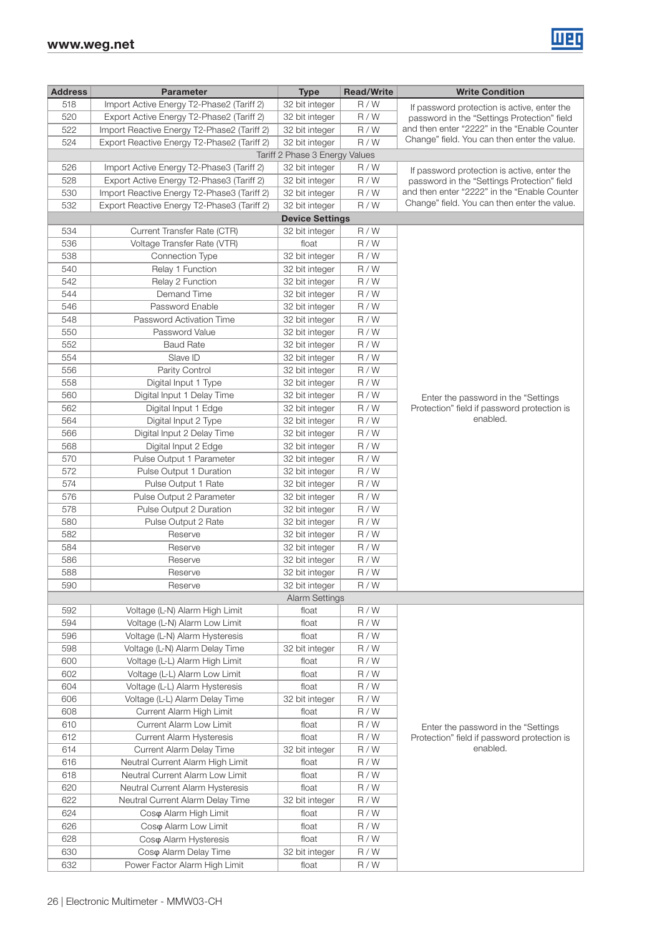

| <b>Address</b> | <b>Parameter</b>                            | <b>Type</b>                             | <b>Read/Write</b> | <b>Write Condition</b>                       |
|----------------|---------------------------------------------|-----------------------------------------|-------------------|----------------------------------------------|
| 518            | Import Active Energy T2-Phase2 (Tariff 2)   | 32 bit integer                          | R/W               | If password protection is active, enter the  |
| 520            | Export Active Energy T2-Phase2 (Tariff 2)   | 32 bit integer                          | R/W               | password in the "Settings Protection" field  |
| 522            | Import Reactive Energy T2-Phase2 (Tariff 2) | 32 bit integer                          | R/W               | and then enter "2222" in the "Enable Counter |
| 524            | Export Reactive Energy T2-Phase2 (Tariff 2) | 32 bit integer                          | R/W               | Change" field. You can then enter the value. |
|                |                                             | Tariff 2 Phase 3 Energy Values          |                   |                                              |
| 526            | Import Active Energy T2-Phase3 (Tariff 2)   | 32 bit integer                          | R/W               | If password protection is active, enter the  |
| 528            | Export Active Energy T2-Phase3 (Tariff 2)   | 32 bit integer                          | R/W               | password in the "Settings Protection" field  |
| 530            | Import Reactive Energy T2-Phase3 (Tariff 2) | 32 bit integer                          | R/W               | and then enter "2222" in the "Enable Counter |
| 532            | Export Reactive Energy T2-Phase3 (Tariff 2) | 32 bit integer                          | R/W               | Change" field. You can then enter the value. |
|                |                                             | <b>Device Settings</b>                  |                   |                                              |
| 534            | Current Transfer Rate (CTR)                 | 32 bit integer                          | R/W               |                                              |
| 536            | Voltage Transfer Rate (VTR)                 | float                                   | R/W               |                                              |
| 538            | Connection Type                             | 32 bit integer                          | R/W               |                                              |
| 540            | Relay 1 Function                            | 32 bit integer                          | R/W               |                                              |
| 542            | Relay 2 Function                            | 32 bit integer                          | R/W               |                                              |
| 544            | Demand Time                                 | 32 bit integer                          | R/W               |                                              |
| 546            | Password Enable                             | 32 bit integer                          | R/W               |                                              |
| 548            | Password Activation Time                    | 32 bit integer                          | R/W               |                                              |
| 550            | Password Value                              | 32 bit integer                          | R/W               |                                              |
| 552            | <b>Baud Rate</b>                            | 32 bit integer                          | R/W               |                                              |
| 554            | Slave ID                                    | 32 bit integer                          | R/W               |                                              |
| 556            | Parity Control                              | 32 bit integer                          | R/W               |                                              |
| 558            | Digital Input 1 Type                        | 32 bit integer                          | R/W               |                                              |
| 560            | Digital Input 1 Delay Time                  | 32 bit integer                          | R/W               | Enter the password in the "Settings"         |
| 562            | Digital Input 1 Edge                        | 32 bit integer                          | R/W               | Protection" field if password protection is  |
| 564            | Digital Input 2 Type                        | 32 bit integer                          | R/W               | enabled.                                     |
| 566            | Digital Input 2 Delay Time                  | 32 bit integer                          | R/W               |                                              |
| 568            | Digital Input 2 Edge                        | 32 bit integer                          | R/W               |                                              |
| 570            | Pulse Output 1 Parameter                    | 32 bit integer                          | R/W               |                                              |
| 572            | Pulse Output 1 Duration                     | 32 bit integer                          | R/W               |                                              |
| 574            | Pulse Output 1 Rate                         | 32 bit integer                          | R/W               |                                              |
| 576            | Pulse Output 2 Parameter                    | 32 bit integer                          | R/W               |                                              |
| 578            | Pulse Output 2 Duration                     | 32 bit integer                          | R/W               |                                              |
| 580            | Pulse Output 2 Rate                         | 32 bit integer                          | R/W               |                                              |
| 582            | Reserve                                     | 32 bit integer                          | R/W               |                                              |
| 584            | Reserve                                     | 32 bit integer                          | R/W               |                                              |
| 586            | Reserve                                     | 32 bit integer                          | R/W               |                                              |
| 588            | Reserve                                     | 32 bit integer                          | R/W               |                                              |
| 590            | Reserve                                     | 32 bit integer<br><b>Alarm Settings</b> | R/W               |                                              |
| 592            | Voltage (L-N) Alarm High Limit              | float                                   | R/W               |                                              |
| 594            | Voltage (L-N) Alarm Low Limit               | float                                   | R/W               |                                              |
| 596            | Voltage (L-N) Alarm Hysteresis              | float                                   | R/W               |                                              |
| 598            | Voltage (L-N) Alarm Delay Time              | 32 bit integer                          | R/W               |                                              |
| 600            | Voltage (L-L) Alarm High Limit              | float                                   | R/W               |                                              |
| 602            | Voltage (L-L) Alarm Low Limit               | float                                   | R/W               |                                              |
| 604            | Voltage (L-L) Alarm Hysteresis              | float                                   | R/W               |                                              |
| 606            | Voltage (L-L) Alarm Delay Time              | 32 bit integer                          | R/W               |                                              |
| 608            | Current Alarm High Limit                    | float                                   | R/W               |                                              |
| 610            | Current Alarm Low Limit                     | float                                   | R/W               | Enter the password in the "Settings"         |
| 612            | Current Alarm Hysteresis                    | float                                   | R/W               | Protection" field if password protection is  |
| 614            | Current Alarm Delay Time                    | 32 bit integer                          | R/W               | enabled.                                     |
| 616            | Neutral Current Alarm High Limit            | float                                   | R/W               |                                              |
| 618            | Neutral Current Alarm Low Limit             | float                                   | R/W               |                                              |
| 620            | Neutral Current Alarm Hysteresis            | float                                   | R/W               |                                              |
| 622            | Neutral Current Alarm Delay Time            | 32 bit integer                          | R/W               |                                              |
| 624            | Coso Alarm High Limit                       | float                                   | R/W               |                                              |
| 626            | Coso Alarm Low Limit                        | float                                   | R/W               |                                              |
| 628            | Coso Alarm Hysteresis                       | float                                   | R/W               |                                              |
| 630            | Coso Alarm Delay Time                       | 32 bit integer                          | R/W               |                                              |
| 632            | Power Factor Alarm High Limit               | float                                   | R/W               |                                              |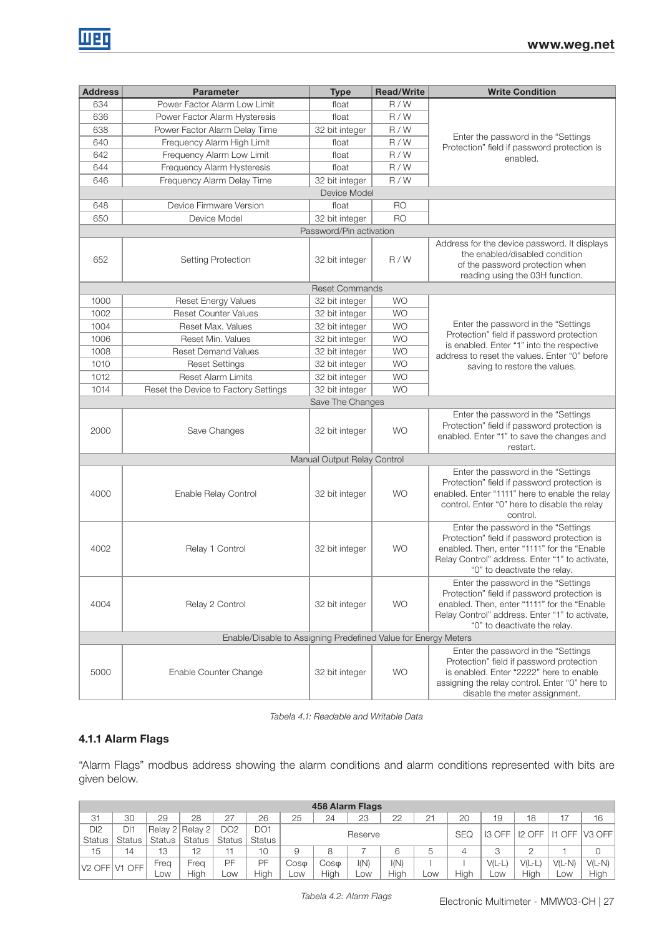| <b>Address</b> | <b>Parameter</b>                                               | <b>Type</b>                 | <b>Read/Write</b> | <b>Write Condition</b>                                                                                                                                                                                              |  |
|----------------|----------------------------------------------------------------|-----------------------------|-------------------|---------------------------------------------------------------------------------------------------------------------------------------------------------------------------------------------------------------------|--|
| 634            | Power Factor Alarm Low Limit                                   | float                       | R/W               |                                                                                                                                                                                                                     |  |
| 636            | Power Factor Alarm Hysteresis                                  | float                       | R/W               |                                                                                                                                                                                                                     |  |
| 638            | Power Factor Alarm Delay Time                                  | 32 bit integer              | R/W               |                                                                                                                                                                                                                     |  |
| 640            | Frequency Alarm High Limit                                     | float                       | R/W               | Enter the password in the "Settings<br>Protection" field if password protection is                                                                                                                                  |  |
| 642            | Frequency Alarm Low Limit                                      | float                       | R/W               | enabled.                                                                                                                                                                                                            |  |
| 644            | Frequency Alarm Hysteresis                                     | float                       | R/W               |                                                                                                                                                                                                                     |  |
| 646            | Frequency Alarm Delay Time                                     | 32 bit integer              | R/W               |                                                                                                                                                                                                                     |  |
|                |                                                                | Device Model                |                   |                                                                                                                                                                                                                     |  |
| 648            | Device Firmware Version                                        | float                       | <b>RO</b>         |                                                                                                                                                                                                                     |  |
| 650            | Device Model                                                   | 32 bit integer              | <b>RO</b>         |                                                                                                                                                                                                                     |  |
|                |                                                                | Password/Pin activation     |                   |                                                                                                                                                                                                                     |  |
| 652            | Setting Protection                                             |                             | R/W               | Address for the device password. It displays<br>the enabled/disabled condition<br>of the password protection when<br>reading using the 03H function.                                                                |  |
|                |                                                                | <b>Reset Commands</b>       |                   |                                                                                                                                                                                                                     |  |
| 1000           | <b>Reset Energy Values</b>                                     | 32 bit integer              | <b>WO</b>         |                                                                                                                                                                                                                     |  |
| 1002           | <b>Reset Counter Values</b>                                    | 32 bit integer              | <b>WO</b>         |                                                                                                                                                                                                                     |  |
| 1004           | Reset Max. Values                                              | 32 bit integer              | <b>WO</b>         | Enter the password in the "Settings                                                                                                                                                                                 |  |
| 1006           | Reset Min. Values                                              | 32 bit integer              | <b>WO</b>         | Protection" field if password protection<br>is enabled. Enter "1" into the respective                                                                                                                               |  |
| 1008           | <b>Reset Demand Values</b>                                     | 32 bit integer              | <b>WO</b>         | address to reset the values. Enter "0" before                                                                                                                                                                       |  |
| 1010           | <b>Reset Settings</b>                                          | 32 bit integer              | <b>WO</b>         | saving to restore the values.                                                                                                                                                                                       |  |
| 1012           | <b>Reset Alarm Limits</b>                                      | 32 bit integer              | <b>WO</b>         |                                                                                                                                                                                                                     |  |
| 1014           | Reset the Device to Factory Settings                           | 32 bit integer              | <b>WO</b>         |                                                                                                                                                                                                                     |  |
|                |                                                                | Save The Changes            |                   |                                                                                                                                                                                                                     |  |
| 2000           | Save Changes                                                   | 32 bit integer              | <b>WO</b>         | Enter the password in the "Settings<br>Protection" field if password protection is<br>enabled. Enter "1" to save the changes and<br>restart.                                                                        |  |
|                |                                                                | Manual Output Relay Control |                   |                                                                                                                                                                                                                     |  |
| 4000           | Enable Relay Control                                           | 32 bit integer              | <b>WO</b>         | Enter the password in the "Settings<br>Protection" field if password protection is<br>enabled. Enter "1111" here to enable the relay<br>control. Enter "0" here to disable the relay<br>control.                    |  |
| 4002           | Relay 1 Control                                                | 32 bit integer              | <b>WO</b>         | Enter the password in the "Settings<br>Protection" field if password protection is<br>enabled. Then, enter "1111" for the "Enable<br>Relay Control" address. Enter "1" to activate,<br>"0" to deactivate the relay. |  |
| 4004           | Relay 2 Control                                                | 32 bit integer              | <b>WO</b>         | Enter the password in the "Settings<br>Protection" field if password protection is<br>enabled. Then, enter "1111" for the "Enable<br>Relay Control" address. Enter "1" to activate,<br>"0" to deactivate the relay. |  |
|                | Enable/Disable to Assigning Predefined Value for Energy Meters |                             |                   |                                                                                                                                                                                                                     |  |
| 5000           | Enable Counter Change                                          | 32 bit integer              | <b>WO</b>         | Enter the password in the "Settings<br>Protection" field if password protection<br>is enabled. Enter "2222" here to enable<br>assigning the relay control. Enter "0" here to<br>disable the meter assignment.       |  |

Tabela 4.1: Readable and Writable Data

### 4.1.1 Alarm Flags

"Alarm Flags" modbus address showing the alarm conditions and alarm conditions represented with bits are given below.

|                                       | 458 Alarm Flags |        |                 |                 |        |         |      |      |      |                |       |               |                                        |            |                    |
|---------------------------------------|-----------------|--------|-----------------|-----------------|--------|---------|------|------|------|----------------|-------|---------------|----------------------------------------|------------|--------------------|
| 31                                    | 30              | 29     | 28              | 07<br>⊂         | 26     | 25      | 24   | 23   | 22   | $\bigcap$<br>⊂ | 20    | 19            | 18                                     |            | 16                 |
| DI2                                   | DI1             |        | Relay 2 Relay 2 | DO <sub>2</sub> | DO1    |         |      |      |      |                |       | SEQ<br>I3 OFF | I <sub>2</sub> OFF<br><b>OFF</b><br>I1 |            | V <sub>3</sub> OFF |
| <b>Status</b>                         | <b>Status</b>   | Status | <b>Status</b>   | <b>Status</b>   | Status | Reserve |      |      |      |                |       |               |                                        |            |                    |
| 15                                    | 14              | 13     | 12              |                 | 10     | 9       |      |      | 6    |                |       |               |                                        |            |                    |
| V <sub>2</sub> OFF V <sub>1</sub> OFF | -rea            | -rea   | PF              | PF              | Cosφ   | Coso    | I(N) | I(N) |      |                | VIL-L | V(L-l         | $V(L-N)$                               | $V(L-N)$   |                    |
|                                       | Low             |        | High            | <b>LOW</b>      | Hiah   | LOW.    | Hiah | _OW  | Hiah | <b>LOW</b>     | Hiah  | LOW           | High                                   | <b>LOW</b> | High               |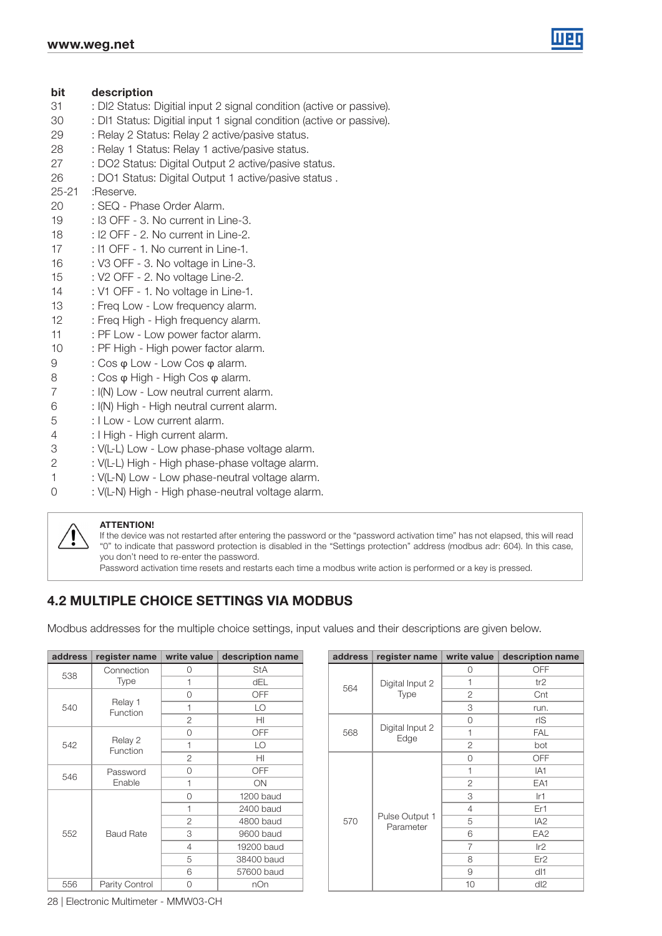

#### bit description

- : DI2 Status: Digitial input 2 signal condition (active or passive).
- : DI1 Status: Digitial input 1 signal condition (active or passive).
- : Relay 2 Status: Relay 2 active/pasive status.
- : Relay 1 Status: Relay 1 active/pasive status.
- : DO2 Status: Digital Output 2 active/pasive status.
- : DO1 Status: Digital Output 1 active/pasive status .
- 25-21 :Reserve.
- : SEQ Phase Order Alarm.
- : I3 OFF 3. No current in Line-3.
- 18 : I2 OFF 2. No current in Line-2.
- 17 : I1 OFF 1. No current in Line-1.
- : V3 OFF 3. No voltage in Line-3.
- : V2 OFF 2. No voltage Line-2.
- 14 : V1 OFF 1. No voltage in Line-1.
- 13 : Freq Low Low frequency alarm.
- : Freq High High frequency alarm.
- 11 : PF Low Low power factor alarm.
- : PF High High power factor alarm.
- : Cos φ Low Low Cos φ alarm.
- : Cos φ High High Cos φ alarm.
- 7 : I(N) Low Low neutral current alarm.
- 6 : I(N) High High neutral current alarm.
- : I Low Low current alarm.
- : I High High current alarm.
- : V(L-L) Low Low phase-phase voltage alarm.
- : V(L-L) High High phase-phase voltage alarm.
- : V(L-N) Low Low phase-neutral voltage alarm.
- 0 : V(L-N) High High phase-neutral voltage alarm.



#### ATTENTION!

If the device was not restarted after entering the password or the "password activation time" has not elapsed, this will read "0" to indicate that password protection is disabled in the "Settings protection" address (modbus adr: 604). In this case, you don't need to re-enter the password.

Password activation time resets and restarts each time a modbus write action is performed or a key is pressed.

# 4.2 MULTIPLE CHOICE SETTINGS VIA MODBUS

Modbus addresses for the multiple choice settings, input values and their descriptions are given below.

| address | register name              | write value    | description name |  |  | address | register name               | write value    |  |  |  |  |  |  |  |  |  |  |  |  |  |  |  |  |  |  |      |                |
|---------|----------------------------|----------------|------------------|--|--|---------|-----------------------------|----------------|--|--|--|--|--|--|--|--|--|--|--|--|--|--|--|--|--|--|------|----------------|
| 538     | Connection                 | 0              | <b>StA</b>       |  |  |         |                             | $\Omega$       |  |  |  |  |  |  |  |  |  |  |  |  |  |  |  |  |  |  |      |                |
|         | <b>Type</b>                |                | dEL              |  |  | 564     | Digital Input 2             |                |  |  |  |  |  |  |  |  |  |  |  |  |  |  |  |  |  |  |      |                |
|         |                            | 0              | <b>OFF</b>       |  |  |         |                             |                |  |  |  |  |  |  |  |  |  |  |  |  |  |  |  |  |  |  | Type | $\overline{2}$ |
| 540     | Relay 1<br><b>Function</b> |                | LO               |  |  |         |                             | 3              |  |  |  |  |  |  |  |  |  |  |  |  |  |  |  |  |  |  |      |                |
|         |                            | $\overline{2}$ | HI               |  |  |         |                             | $\mathbf{0}$   |  |  |  |  |  |  |  |  |  |  |  |  |  |  |  |  |  |  |      |                |
|         |                            | 0              | <b>OFF</b>       |  |  | 568     | Digital Input 2<br>Edge     |                |  |  |  |  |  |  |  |  |  |  |  |  |  |  |  |  |  |  |      |                |
| 542     | Relay 2<br>Function        |                | LO               |  |  |         |                             | $\overline{2}$ |  |  |  |  |  |  |  |  |  |  |  |  |  |  |  |  |  |  |      |                |
|         |                            | 2              | HI               |  |  |         |                             | $\mathbf{0}$   |  |  |  |  |  |  |  |  |  |  |  |  |  |  |  |  |  |  |      |                |
| 546     | Password                   | 0              | OFF              |  |  |         |                             |                |  |  |  |  |  |  |  |  |  |  |  |  |  |  |  |  |  |  |      |                |
|         | Enable                     |                | <b>ON</b>        |  |  |         |                             | 2              |  |  |  |  |  |  |  |  |  |  |  |  |  |  |  |  |  |  |      |                |
|         |                            | 0              | <b>1200 baud</b> |  |  |         |                             | 3              |  |  |  |  |  |  |  |  |  |  |  |  |  |  |  |  |  |  |      |                |
|         |                            |                | 2400 baud        |  |  |         |                             | $\overline{4}$ |  |  |  |  |  |  |  |  |  |  |  |  |  |  |  |  |  |  |      |                |
|         |                            | 2              | 4800 baud        |  |  | 570     | Pulse Output 1<br>Parameter | 5              |  |  |  |  |  |  |  |  |  |  |  |  |  |  |  |  |  |  |      |                |
| 552     | <b>Baud Rate</b>           | 3              | 9600 baud        |  |  |         |                             | 6              |  |  |  |  |  |  |  |  |  |  |  |  |  |  |  |  |  |  |      |                |
|         |                            | 4              | 19200 baud       |  |  |         |                             | 7              |  |  |  |  |  |  |  |  |  |  |  |  |  |  |  |  |  |  |      |                |
|         |                            | 5              | 38400 baud       |  |  |         |                             | 8              |  |  |  |  |  |  |  |  |  |  |  |  |  |  |  |  |  |  |      |                |
|         |                            | 6              | 57600 baud       |  |  |         |                             | 9              |  |  |  |  |  |  |  |  |  |  |  |  |  |  |  |  |  |  |      |                |
| 556     | Parity Control             | 0              | nOn              |  |  |         |                             | 10             |  |  |  |  |  |  |  |  |  |  |  |  |  |  |  |  |  |  |      |                |

| value          | description name | address | register name               | write value    | description name |
|----------------|------------------|---------|-----------------------------|----------------|------------------|
| 0              | <b>StA</b>       |         |                             | 0              | <b>OFF</b>       |
| 1              | dEL              | 564     | Digital Input 2             |                | tr2              |
| 0              | OFF              |         | Type                        | 2              | Cnt              |
| 1              | LO               |         |                             | 3              | run.             |
| $\overline{c}$ | HI               |         |                             | $\circ$        | rlS              |
| 0              | OFF              | 568     | Digital Input 2<br>Edge     |                | <b>FAL</b>       |
| 1              | LO               |         |                             | $\overline{2}$ | bot              |
| $\overline{2}$ | HI               |         |                             | $\circ$        | <b>OFF</b>       |
| 0              | OFF              |         |                             |                | IA1              |
| 1              | ON               |         |                             | $\overline{2}$ | EA1              |
| 0              | 1200 baud        |         |                             | 3              | Ir1              |
| 1              | 2400 baud        |         |                             | $\overline{4}$ | Er1              |
| $\overline{2}$ | 4800 baud        | 570     | Pulse Output 1<br>Parameter | 5              | IA <sub>2</sub>  |
| 3              | 9600 baud        |         |                             | 6              | EA <sub>2</sub>  |
| 4              | 19200 baud       |         |                             | $\overline{7}$ | Ir2              |
| 5              | 38400 baud       |         |                             | 8              | Er <sub>2</sub>  |
| 6              | 57600 baud       |         |                             | 9              | dl1              |
| 0              | nOn              |         |                             | 10             | dl2              |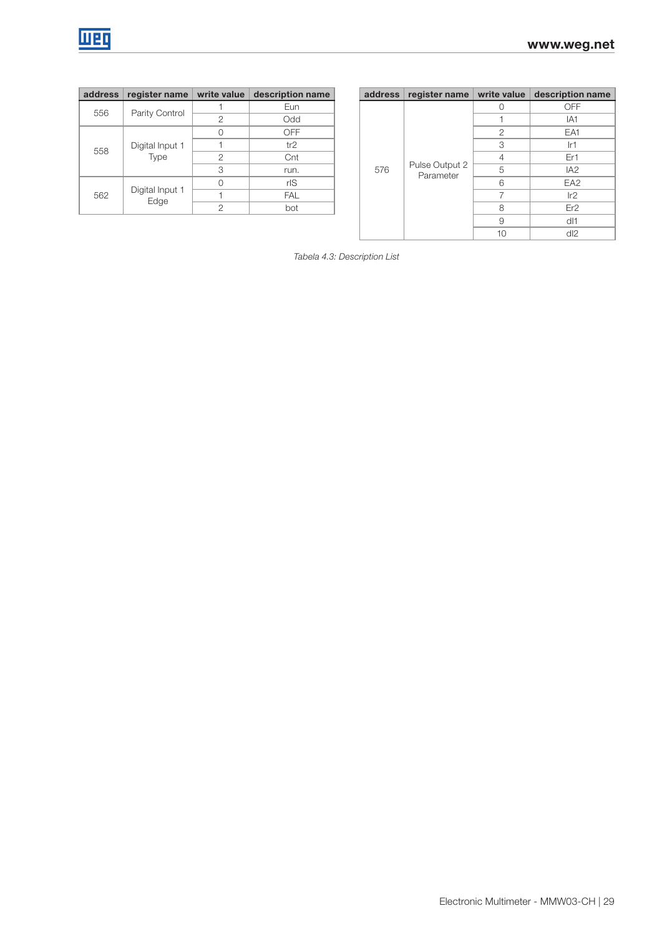| address | register name           | write value | description name |
|---------|-------------------------|-------------|------------------|
| 556     |                         |             | Eun              |
|         | Parity Control          | 2           | Odd              |
| 558     |                         |             | OFF              |
|         | Digital Input 1<br>Type |             | tr2              |
|         |                         | 2           | Cnt              |
|         |                         | 3           | run.             |
|         |                         |             | rlS              |
| 562     | Digital Input 1<br>Edge |             | <b>FAL</b>       |
|         |                         | 2           | bot              |

| address | register name           | write value | description name |  | address | register name               | write value | description name |
|---------|-------------------------|-------------|------------------|--|---------|-----------------------------|-------------|------------------|
| 556     |                         |             | Eun              |  |         |                             |             | <b>OFF</b>       |
|         | Parity Control          | 2           | Odd              |  |         |                             | IA1         |                  |
| 558     |                         |             | <b>OFF</b>       |  |         | Pulse Output 2<br>Parameter | 2           | EA <sub>1</sub>  |
|         | Digital Input 1         |             | tr2              |  | 576     |                             | 3           | lr1              |
|         | <b>Type</b>             | 2           | Cnt              |  |         |                             | 4           | Er1              |
|         |                         | 3           | run.             |  |         |                             | 5           | IA <sub>2</sub>  |
|         |                         |             | rlS              |  |         |                             | 6           | EA <sub>2</sub>  |
| 562     | Digital Input 1<br>Edge |             | <b>FAL</b>       |  |         |                             |             | Ir2              |
|         |                         | っ           | bot              |  |         |                             | 8           | Er <sub>2</sub>  |
|         |                         |             |                  |  |         |                             | 9           | dl1              |
|         |                         |             |                  |  |         |                             | 10          | dl2              |

Tabela 4.3: Description List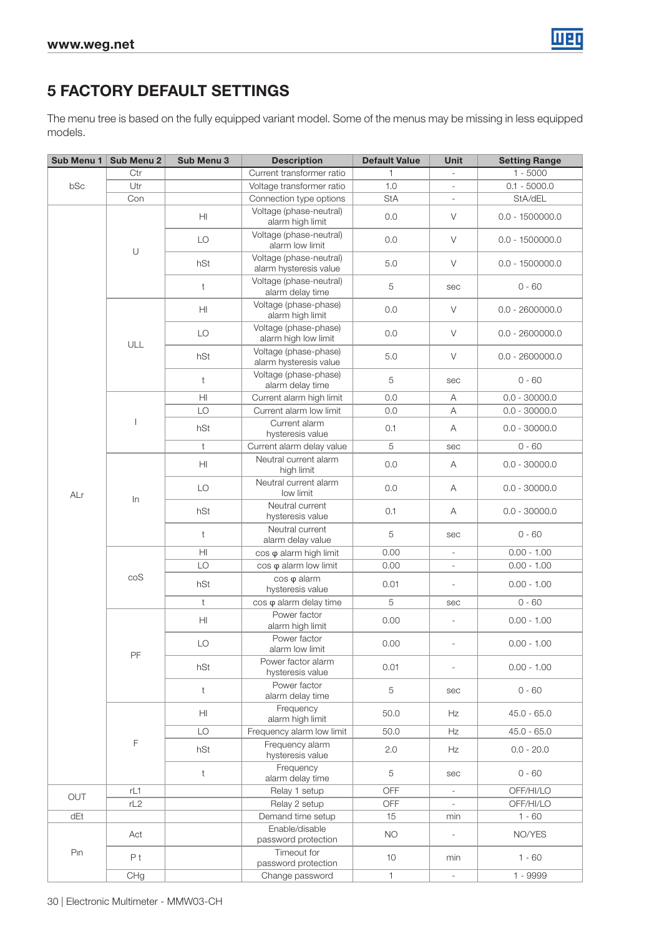

# 5 FACTORY DEFAULT SETTINGS

The menu tree is based on the fully equipped variant model. Some of the menus may be missing in less equipped models.

| Sub Menu 1 | Sub Menu 2     | Sub Menu 3             | <b>Description</b>                                | <b>Default Value</b> | Unit                     | <b>Setting Range</b> |
|------------|----------------|------------------------|---------------------------------------------------|----------------------|--------------------------|----------------------|
|            | Ctr            |                        | Current transformer ratio                         | 1                    |                          | $1 - 5000$           |
| bSc        | Utr            |                        | Voltage transformer ratio                         | 1.0                  |                          | $0.1 - 5000.0$       |
|            | Con            |                        | Connection type options                           | <b>StA</b>           |                          | StA/dEL              |
|            |                | HI                     | Voltage (phase-neutral)<br>alarm high limit       | 0.0                  | V                        | $0.0 - 1500000.0$    |
|            |                | LO                     | Voltage (phase-neutral)<br>alarm low limit        | 0.0                  | $\vee$                   | $0.0 - 1500000.0$    |
|            | $\cup$         | hSt                    | Voltage (phase-neutral)<br>alarm hysteresis value | 5.0                  | V                        | $0.0 - 1500000.0$    |
|            |                | t                      | Voltage (phase-neutral)<br>alarm delay time       | 5                    | sec                      | $0 - 60$             |
|            |                | HI                     | Voltage (phase-phase)<br>alarm high limit         | 0.0                  | V                        | $0.0 - 2600000.0$    |
|            | ULL            | LO                     | Voltage (phase-phase)<br>alarm high low limit     | 0.0                  | V                        | $0.0 - 2600000.0$    |
|            |                | hSt                    | Voltage (phase-phase)<br>alarm hysteresis value   | 5.0                  | V                        | $0.0 - 2600000.0$    |
|            |                | $\mathsf t$            | Voltage (phase-phase)<br>alarm delay time         | 5                    | sec                      | $0 - 60$             |
|            |                | $\mathsf{H}\mathsf{I}$ | Current alarm high limit                          | 0.0                  | A                        | $0.0 - 30000.0$      |
|            |                | LO                     | Current alarm low limit                           | 0.0                  | A                        | $0.0 - 30000.0$      |
|            |                | hSt                    | Current alarm<br>hysteresis value                 | 0.1                  | Α                        | $0.0 - 30000.0$      |
|            |                | t                      | Current alarm delay value                         | 5                    | sec                      | $0 - 60$             |
|            |                | H <sub>II</sub>        | Neutral current alarm<br>high limit               | 0.0                  | Α                        | $0.0 - 30000.0$      |
| ALr        | $\ln$          | LO                     | Neutral current alarm<br>low limit                | 0.0                  | Α                        | $0.0 - 30000.0$      |
|            |                | hSt                    | Neutral current<br>hysteresis value               | 0.1                  | Α                        | $0.0 - 30000.0$      |
|            |                | t                      | Neutral current<br>alarm delay value              | 5                    | sec                      | $0 - 60$             |
|            |                | $\mathsf{H}\mathsf{I}$ | cos φ alarm high limit                            | 0.00                 | $\overline{\phantom{a}}$ | $0.00 - 1.00$        |
|            |                | LO                     | $\cos \varphi$ alarm low limit                    | 0.00                 | $\overline{\phantom{a}}$ | $0.00 - 1.00$        |
|            | coS            | hSt                    | cos φ alarm<br>hysteresis value                   | 0.01                 | $\overline{\phantom{a}}$ | $0.00 - 1.00$        |
|            |                | t                      | cos $\varphi$ alarm delay time                    | 5                    | sec                      | $0 - 60$             |
|            |                | H <sub>II</sub>        | Power factor<br>alarm high limit                  | 0.00                 | $\frac{1}{2}$            | $0.00 - 1.00$        |
|            | PF             | LO                     | Power factor<br>alarm low limit                   | 0.00                 | $\overline{\phantom{a}}$ | $0.00 - 1.00$        |
|            |                | hSt                    | Power factor alarm<br>hysteresis value            | 0.01                 | $\overline{\phantom{a}}$ | $0.00 - 1.00$        |
|            |                | t                      | Power factor<br>alarm delay time                  | 5                    | sec                      | $0 - 60$             |
|            |                | H <sub>II</sub>        | Frequency<br>alarm high limit                     | 50.0                 | Hz                       | $45.0 - 65.0$        |
|            |                | LO                     | Frequency alarm low limit                         | 50.0                 | Hz                       | $45.0 - 65.0$        |
|            | F              | hSt                    | Frequency alarm<br>hysteresis value               | 2.0                  | Hz                       | $0.0 - 20.0$         |
|            |                | $\mathsf t$            | Frequency<br>alarm delay time                     | 5                    | sec                      | $0 - 60$             |
| OUT        | rL1            |                        | Relay 1 setup                                     | OFF                  | $\overline{\phantom{a}}$ | OFF/HI/LO            |
|            | rL2            |                        | Relay 2 setup                                     | OFF                  | $\overline{\phantom{a}}$ | OFF/HI/LO            |
| dEt        |                |                        | Demand time setup                                 | 15                   | min                      | $1 - 60$             |
|            | Act            |                        | Enable/disable<br>password protection             | <b>NO</b>            | $\overline{\phantom{a}}$ | NO/YES               |
| Pın        | P <sub>t</sub> |                        | Timeout for<br>password protection                | 10                   | min                      | $1 - 60$             |
|            | CHg            |                        | Change password                                   | $\mathbf{1}$         | $\overline{\phantom{a}}$ | 1 - 9999             |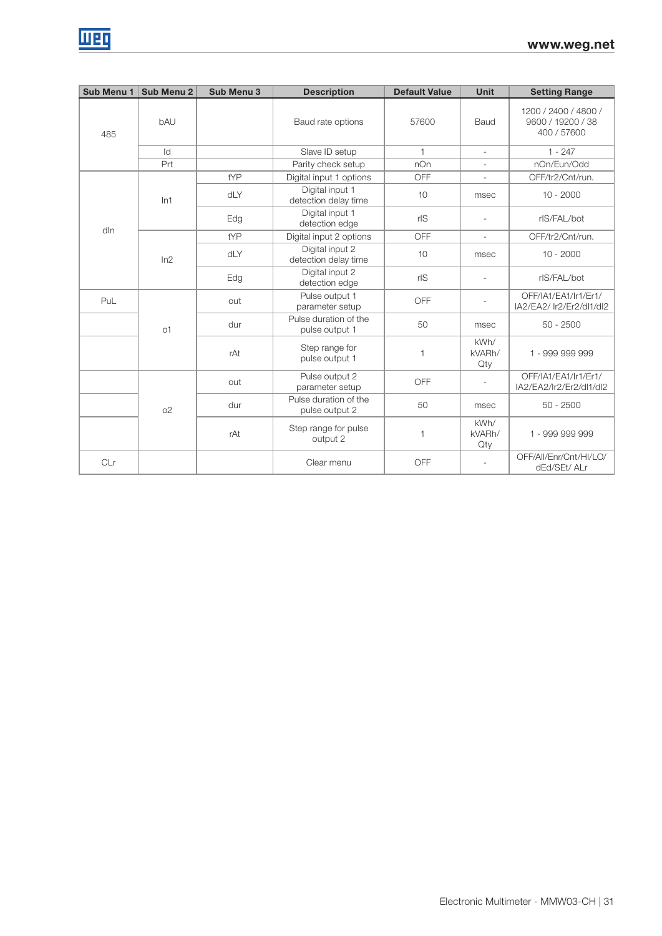| Sub Menu 1 | Sub Menu 2     | Sub Menu 3 | <b>Description</b>                      | <b>Default Value</b>                    | <b>Unit</b>           | <b>Setting Range</b>                                     |             |
|------------|----------------|------------|-----------------------------------------|-----------------------------------------|-----------------------|----------------------------------------------------------|-------------|
| 485        | bAU            |            | Baud rate options                       | 57600                                   | Baud                  | 1200 / 2400 / 4800 /<br>9600 / 19200 / 38<br>400 / 57600 |             |
|            | ld             |            | Slave ID setup                          | $\mathbf{1}$                            | $\sim$                | $1 - 247$                                                |             |
|            | Prt            |            | Parity check setup                      | nOn                                     |                       | nOn/Eun/Odd                                              |             |
|            |                | tYP        | Digital input 1 options                 | OFF                                     | J.                    | OFF/tr2/Cnt/run.                                         |             |
| dln        | ln1            | dLY        |                                         | Digital input 1<br>detection delay time | 10                    | msec                                                     | $10 - 2000$ |
|            |                | Edg        | Digital input 1<br>detection edge       | rlS                                     |                       | rlS/FAL/bot                                              |             |
|            | ln2            | tYP        | Digital input 2 options                 | OFF                                     |                       | OFF/tr2/Cnt/run.                                         |             |
|            |                | dLY        | Digital input 2<br>detection delay time | 10                                      | msec                  | $10 - 2000$                                              |             |
|            |                | Edg        | Digital input 2<br>detection edge       | rlS                                     |                       | rlS/FAL/bot                                              |             |
| PuL        |                | out        | Pulse output 1<br>parameter setup       | OFF                                     |                       | OFF/IA1/EA1/Ir1/Er1/<br>IA2/EA2/ Ir2/Er2/dl1/dl2         |             |
|            | o1             | dur        | Pulse duration of the<br>pulse output 1 | 50                                      | msec                  | $50 - 2500$                                              |             |
|            |                | rAt        | Step range for<br>pulse output 1        | 1                                       | kWh/<br>kVARh/<br>Qty | 1 - 999 999 999                                          |             |
|            |                | out        | Pulse output 2<br>parameter setup       | OFF                                     |                       | OFF/IA1/EA1/Ir1/Er1/<br>IA2/EA2/Ir2/Er2/dl1/dl2          |             |
|            | O <sub>2</sub> | dur        | Pulse duration of the<br>pulse output 2 | 50                                      | msec                  | $50 - 2500$                                              |             |
|            |                | rAt        | Step range for pulse<br>output 2        | 1                                       | kWh/<br>kVARh/<br>Qty | 1 - 999 999 999                                          |             |
| CLr        |                |            | Clear menu                              | OFF                                     |                       | OFF/All/Enr/Cnt/HI/LO/<br>dEd/SEt/ ALr                   |             |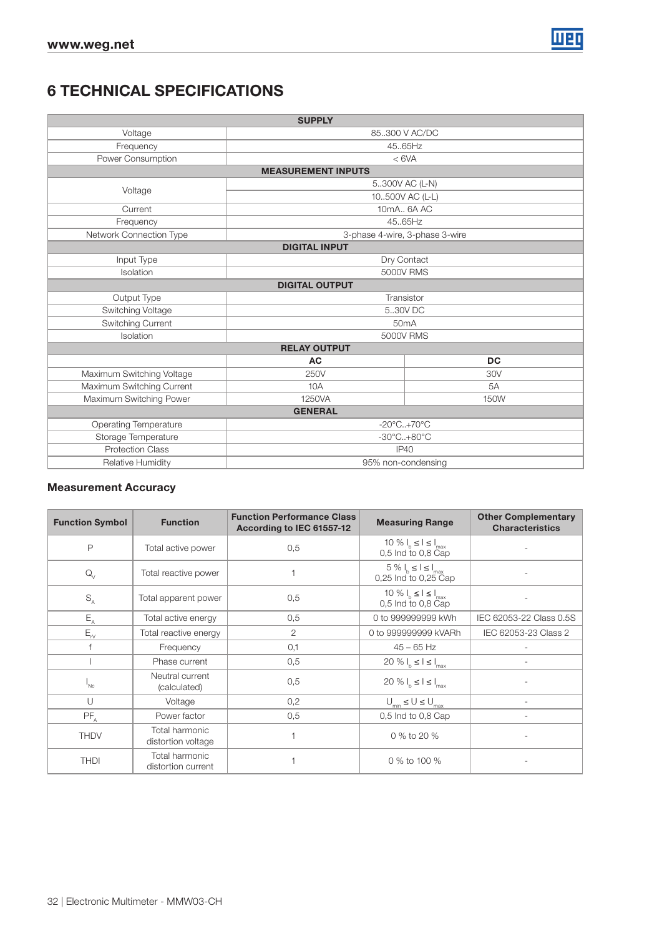

# 6 TECHNICAL SPECIFICATIONS

|                              | <b>SUPPLY</b>                   |                                 |
|------------------------------|---------------------------------|---------------------------------|
| Voltage                      |                                 | 85.300 V AC/DC                  |
| Frequency                    | 45.65Hz                         |                                 |
| Power Consumption            | < 6VA                           |                                 |
|                              | <b>MEASUREMENT INPUTS</b>       |                                 |
| Voltage                      |                                 | 5300V AC (L-N)                  |
|                              |                                 | 10500V AC (L-L)                 |
| Current                      | 10mA., 6A AC                    |                                 |
| Frequency                    | 45.65Hz                         |                                 |
| Network Connection Type      | 3-phase 4-wire, 3-phase 3-wire  |                                 |
|                              | <b>DIGITAL INPUT</b>            |                                 |
| Input Type                   | Dry Contact                     |                                 |
| Isolation                    | <b>5000V RMS</b>                |                                 |
|                              | <b>DIGITAL OUTPUT</b>           |                                 |
| Output Type                  | Transistor                      |                                 |
| Switching Voltage            |                                 | 5.30V DC                        |
| Switching Current            |                                 | 50 <sub>m</sub> A               |
| Isolation                    |                                 | <b>5000V RMS</b>                |
|                              | <b>RELAY OUTPUT</b>             |                                 |
|                              | <b>AC</b>                       | <b>DC</b>                       |
| Maximum Switching Voltage    | 250V                            | 30V                             |
| Maximum Switching Current    | 10A                             | 5A                              |
| Maximum Switching Power      | 1250VA                          | 150W                            |
|                              | <b>GENERAL</b>                  |                                 |
| <b>Operating Temperature</b> | $-20^{\circ}$ C+70 $^{\circ}$ C |                                 |
| Storage Temperature          |                                 | $-30^{\circ}$ C+80 $^{\circ}$ C |
| <b>Protection Class</b>      | IP40                            |                                 |
| Relative Humidity            | 95% non-condensing              |                                 |

### Measurement Accuracy

| <b>Function Symbol</b>     | <b>Function</b>                      | <b>Function Performance Class</b><br>According to IEC 61557-12 | <b>Measuring Range</b>                               | <b>Other Complementary</b><br><b>Characteristics</b> |
|----------------------------|--------------------------------------|----------------------------------------------------------------|------------------------------------------------------|------------------------------------------------------|
| Ρ                          | Total active power                   | 0,5                                                            | 10 % $I_b \leq I \leq I_{max}$<br>0,5 Ind to 0,8 Cap |                                                      |
| $Q_{\vee}$                 | Total reactive power                 |                                                                | $5\%I_h \leq I \leq I_{max}$<br>0,25 Ind to 0,25 Cap |                                                      |
| $S_A$                      | Total apparent power                 | 0.5                                                            | 10 % $I_b \leq I \leq I_{max}$<br>0,5 Ind to 0,8 Cap |                                                      |
| $E_{A}$                    | Total active energy                  | 0.5                                                            | 0 to 999999999 kWh                                   | IEC 62053-22 Class 0.5S                              |
| $\mathsf{E}_{\mathsf{rv}}$ | Total reactive energy                | $\overline{2}$                                                 | 0 to 999999999 kVARh                                 | IEC 62053-23 Class 2                                 |
|                            | Frequency                            | 0,1                                                            | $45 - 65$ Hz                                         |                                                      |
|                            | Phase current                        | 0.5                                                            | 20 % $I_h \leq I \leq I_{max}$                       |                                                      |
| I <sub>NC</sub>            | Neutral current<br>(calculated)      | 0,5                                                            | 20 % $I_b \leq I \leq I_{max}$                       |                                                      |
| U                          | Voltage                              | 0,2                                                            | $U_{\text{min}} \leq U \leq U_{\text{max}}$          |                                                      |
| $PF_A$                     | Power factor                         | 0,5                                                            | $0,5$ Ind to $0,8$ Cap                               |                                                      |
| <b>THDV</b>                | Total harmonic<br>distortion voltage |                                                                | 0 % to 20 %                                          |                                                      |
| <b>THDI</b>                | Total harmonic<br>distortion current |                                                                | 0 % to 100 %                                         |                                                      |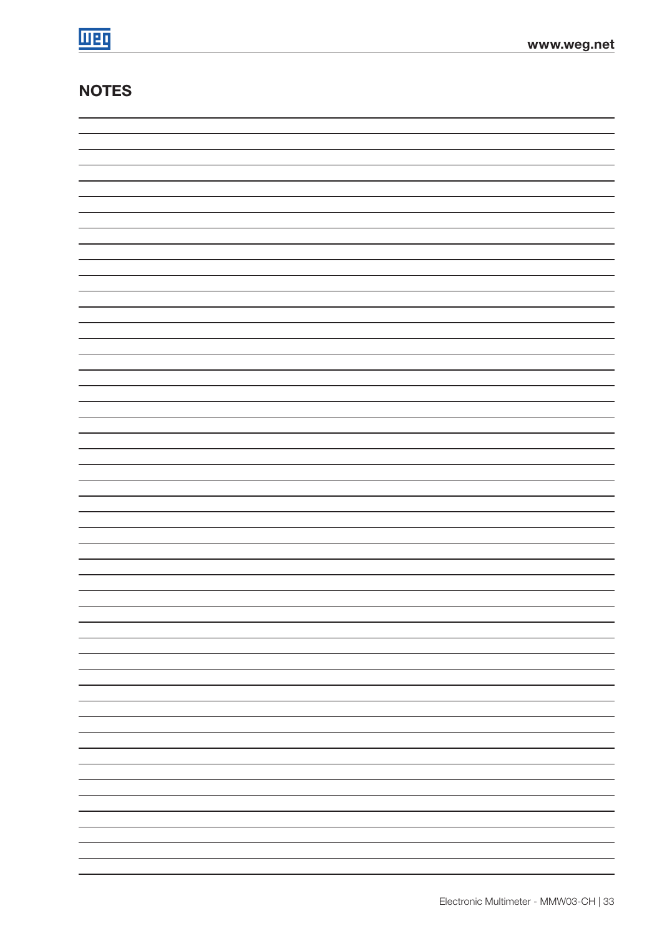# **NOTES**

| —                        |
|--------------------------|
|                          |
| -                        |
| -                        |
|                          |
| -                        |
|                          |
|                          |
| $\overline{\phantom{0}}$ |
|                          |
| $\overline{\phantom{0}}$ |
| -                        |
|                          |
| —                        |
|                          |
| -                        |
|                          |
|                          |
| $\overline{\phantom{0}}$ |
| -                        |
|                          |
| —                        |
|                          |
| -                        |
|                          |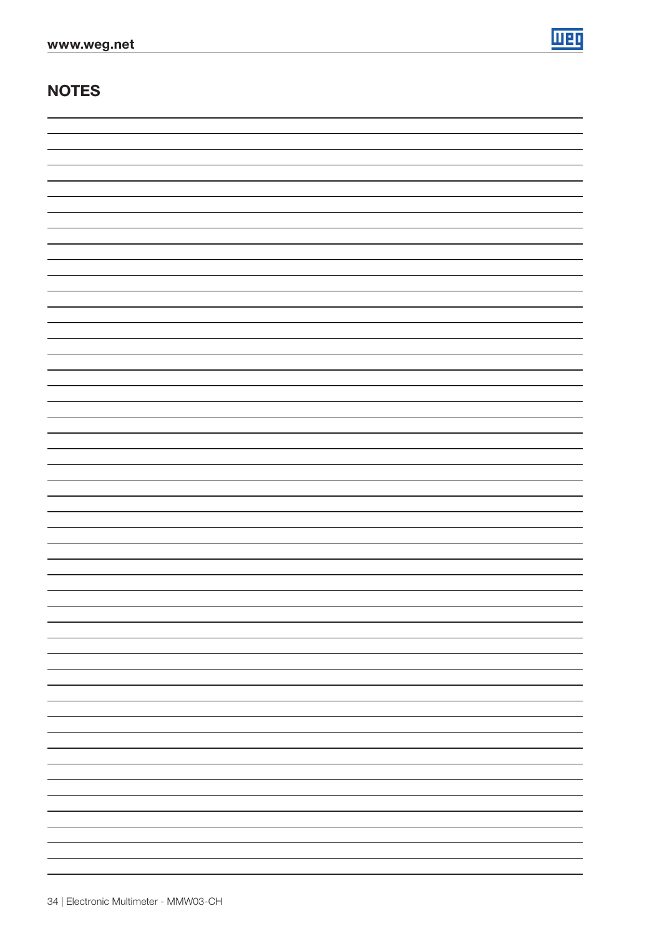

# **NOTES**

| - |
|---|
|   |
|   |
|   |
|   |
|   |
|   |
| - |
|   |
| - |
|   |
| - |
|   |
|   |
|   |
|   |
| - |
|   |
| - |
|   |
|   |
| - |
|   |
| - |
|   |
| - |
|   |
|   |
|   |
|   |
|   |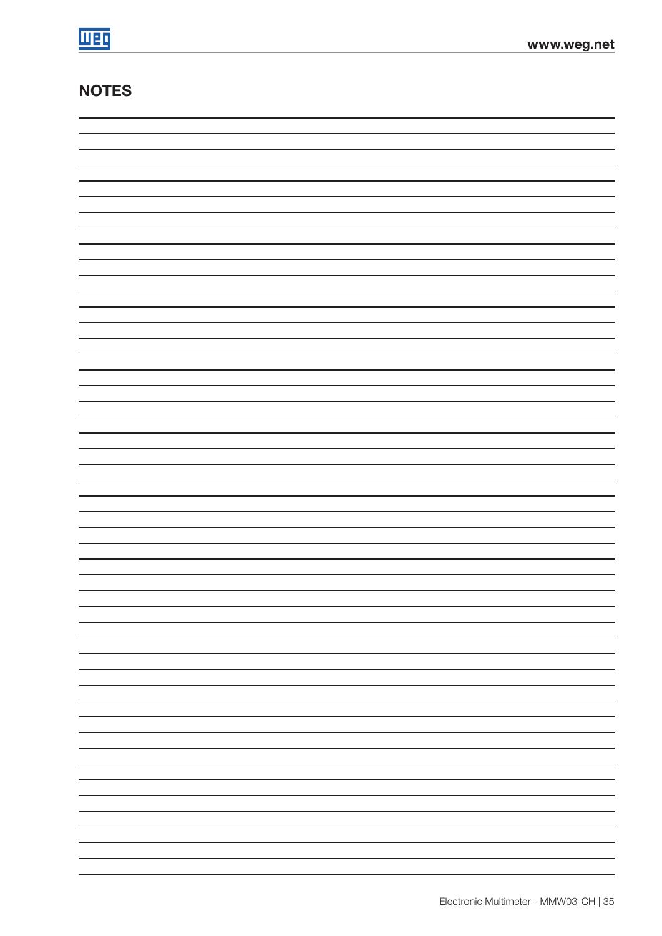# **NOTES**

| —                        |
|--------------------------|
|                          |
| -                        |
| -                        |
|                          |
| -                        |
|                          |
|                          |
| $\overline{\phantom{0}}$ |
|                          |
| $\overline{\phantom{0}}$ |
| -                        |
|                          |
| —                        |
|                          |
| -                        |
|                          |
|                          |
| $\overline{\phantom{0}}$ |
| -                        |
|                          |
| —                        |
|                          |
| -                        |
|                          |